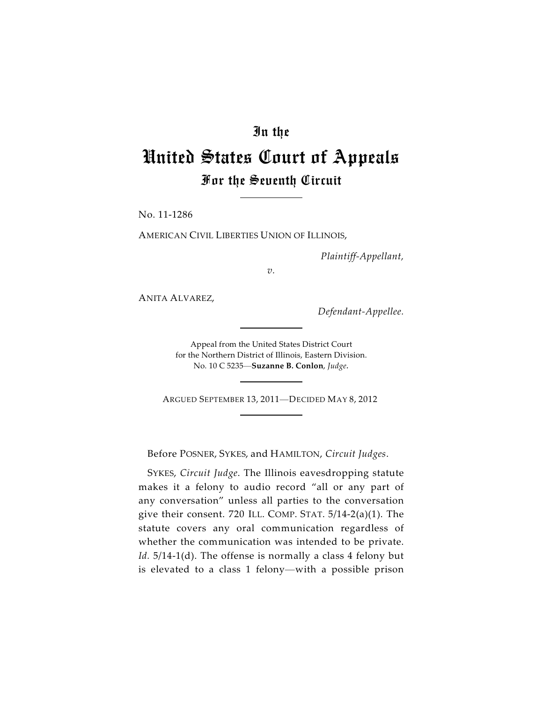# In the

# United States Court of Appeals For the Seventh Circuit

No. 11-1286

AMERICAN CIVIL LIBERTIES UNION OF ILLINOIS,

*Plaintiff-Appellant,*

*v.*

ANITA ALVAREZ,

*Defendant-Appellee.*

Appeal from the United States District Court for the Northern District of Illinois, Eastern Division. No. 10 C 5235—**Suzanne B. Conlon**, *Judge.*

ARGUED SEPTEMBER 13, 2011—DECIDED MAY 8, 2012

Before POSNER, SYKES, and HAMILTON, *Circuit Judges*.

SYKES, *Circuit Judge*. The Illinois eavesdropping statute makes it a felony to audio record "all or any part of any conversation" unless all parties to the conversation give their consent. 720 ILL. COMP. STAT. 5/14-2(a)(1). The statute covers any oral communication regardless of whether the communication was intended to be private. Id. 5/14-1(d). The offense is normally a class 4 felony but is elevated to a class 1 felony—with a possible prison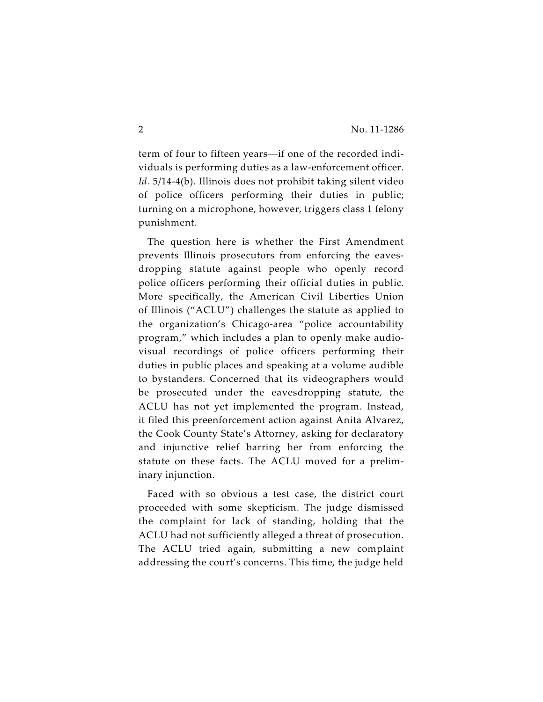term of four to fifteen years—if one of the recorded individuals is performing duties as a law-enforcement officer. *Id.* 5/14-4(b). Illinois does not prohibit taking silent video of police officers performing their duties in public; turning on a microphone, however, triggers class 1 felony punishment.

The question here is whether the First Amendment prevents Illinois prosecutors from enforcing the eavesdropping statute against people who openly record police officers performing their official duties in public. More specifically, the American Civil Liberties Union of Illinois ("ACLU") challenges the statute as applied to the organization's Chicago-area "police accountability program," which includes a plan to openly make audiovisual recordings of police officers performing their duties in public places and speaking at a volume audible to bystanders. Concerned that its videographers would be prosecuted under the eavesdropping statute, the ACLU has not yet implemented the program. Instead, it filed this preenforcement action against Anita Alvarez, the Cook County State's Attorney, asking for declaratory and injunctive relief barring her from enforcing the statute on these facts. The ACLU moved for a preliminary injunction.

Faced with so obvious a test case, the district court proceeded with some skepticism. The judge dismissed the complaint for lack of standing, holding that the ACLU had not sufficiently alleged a threat of prosecution. The ACLU tried again, submitting a new complaint addressing the court's concerns. This time, the judge held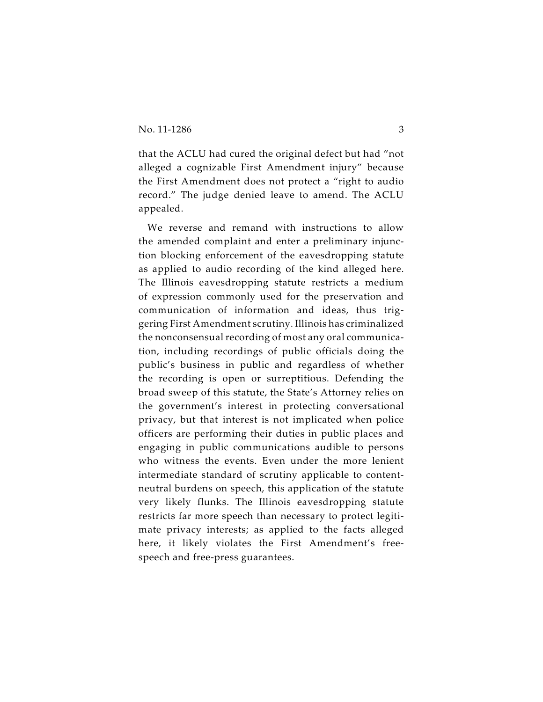that the ACLU had cured the original defect but had "not alleged a cognizable First Amendment injury" because the First Amendment does not protect a "right to audio record." The judge denied leave to amend. The ACLU appealed.

We reverse and remand with instructions to allow the amended complaint and enter a preliminary injunction blocking enforcement of the eavesdropping statute as applied to audio recording of the kind alleged here. The Illinois eavesdropping statute restricts a medium of expression commonly used for the preservation and communication of information and ideas, thus triggering First Amendment scrutiny. Illinois has criminalized the nonconsensual recording of most any oral communication, including recordings of public officials doing the public's business in public and regardless of whether the recording is open or surreptitious. Defending the broad sweep of this statute, the State's Attorney relies on the government's interest in protecting conversational privacy, but that interest is not implicated when police officers are performing their duties in public places and engaging in public communications audible to persons who witness the events. Even under the more lenient intermediate standard of scrutiny applicable to contentneutral burdens on speech, this application of the statute very likely flunks. The Illinois eavesdropping statute restricts far more speech than necessary to protect legitimate privacy interests; as applied to the facts alleged here, it likely violates the First Amendment's freespeech and free-press guarantees.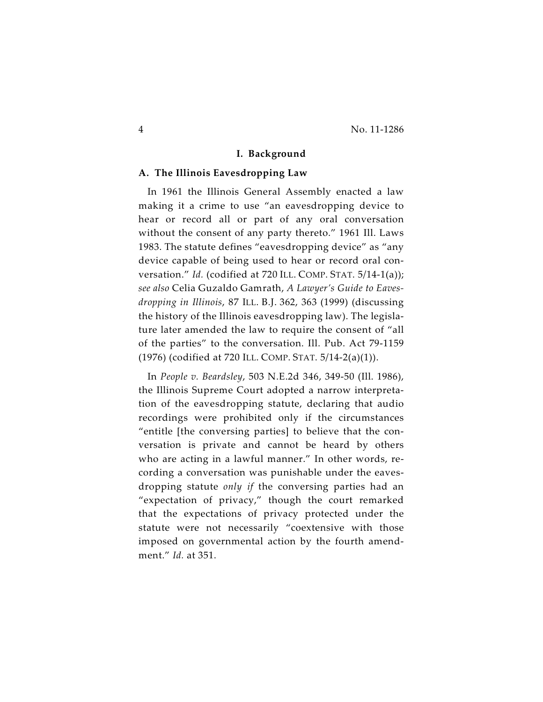#### **I. Background**

#### **A. The Illinois Eavesdropping Law**

In 1961 the Illinois General Assembly enacted a law making it a crime to use "an eavesdropping device to hear or record all or part of any oral conversation without the consent of any party thereto." 1961 Ill. Laws 1983. The statute defines "eavesdropping device" as "any device capable of being used to hear or record oral conversation." *Id.* (codified at 720 ILL. COMP. STAT. 5/14-1(a)); *see also* Celia Guzaldo Gamrath, *A Lawyer's Guide to Eavesdropping in Illinois*, 87 ILL. B.J. 362, 363 (1999) (discussing the history of the Illinois eavesdropping law). The legislature later amended the law to require the consent of "all of the parties" to the conversation. Ill. Pub. Act 79-1159 (1976) (codified at 720 ILL. COMP. STAT. 5/14-2(a)(1)).

In *People v. Beardsley*, 503 N.E.2d 346, 349-50 (Ill. 1986), the Illinois Supreme Court adopted a narrow interpretation of the eavesdropping statute, declaring that audio recordings were prohibited only if the circumstances "entitle [the conversing parties] to believe that the conversation is private and cannot be heard by others who are acting in a lawful manner." In other words, recording a conversation was punishable under the eavesdropping statute *only if* the conversing parties had an "expectation of privacy," though the court remarked that the expectations of privacy protected under the statute were not necessarily "coextensive with those imposed on governmental action by the fourth amendment." *Id.* at 351.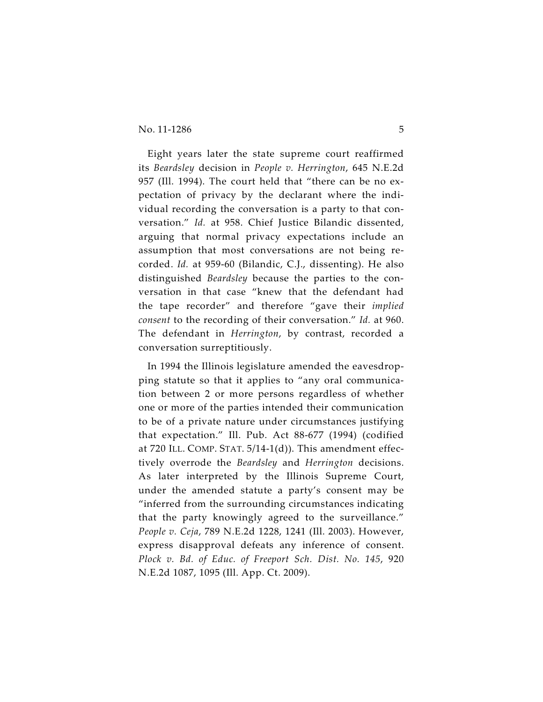Eight years later the state supreme court reaffirmed its *Beardsley* decision in *People v. Herrington*, 645 N.E.2d 957 (Ill. 1994). The court held that "there can be no expectation of privacy by the declarant where the individual recording the conversation is a party to that conversation." *Id.* at 958. Chief Justice Bilandic dissented, arguing that normal privacy expectations include an assumption that most conversations are not being recorded. *Id.* at 959-60 (Bilandic, C.J., dissenting). He also distinguished *Beardsley* because the parties to the conversation in that case "knew that the defendant had the tape recorder" and therefore "gave their *implied consent* to the recording of their conversation." *Id.* at 960. The defendant in *Herrington*, by contrast, recorded a conversation surreptitiously.

In 1994 the Illinois legislature amended the eavesdropping statute so that it applies to "any oral communication between 2 or more persons regardless of whether one or more of the parties intended their communication to be of a private nature under circumstances justifying that expectation." Ill. Pub. Act 88-677 (1994) (codified at 720 ILL. COMP. STAT. 5/14-1(d)). This amendment effectively overrode the *Beardsley* and *Herrington* decisions. As later interpreted by the Illinois Supreme Court, under the amended statute a party's consent may be "inferred from the surrounding circumstances indicating that the party knowingly agreed to the surveillance." *People v. Ceja*, 789 N.E.2d 1228, 1241 (Ill. 2003). However, express disapproval defeats any inference of consent. *Plock v. Bd. of Educ. of Freeport Sch. Dist. No. 145*, 920 N.E.2d 1087, 1095 (Ill. App. Ct. 2009).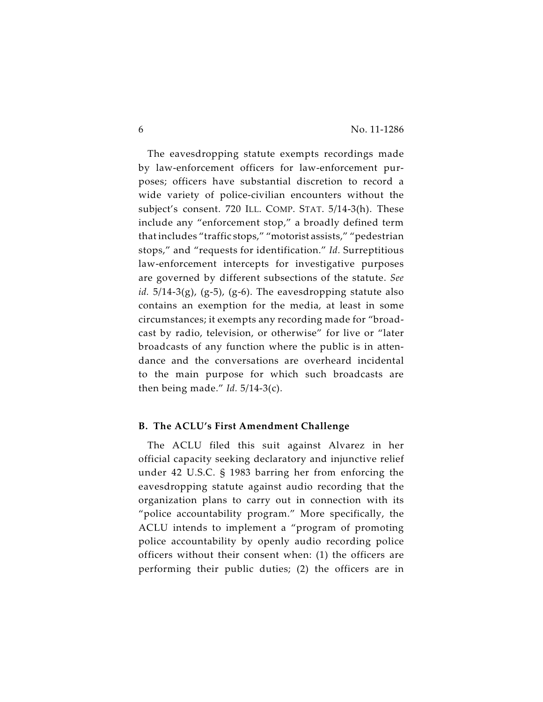The eavesdropping statute exempts recordings made by law-enforcement officers for law-enforcement purposes; officers have substantial discretion to record a wide variety of police-civilian encounters without the subject's consent. 720 ILL. COMP. STAT. 5/14-3(h). These include any "enforcement stop," a broadly defined term that includes "traffic stops," "motorist assists," "pedestrian stops," and "requests for identification." *Id.* Surreptitious law-enforcement intercepts for investigative purposes are governed by different subsections of the statute. *See id.*  $5/14-3(g)$ ,  $(g-5)$ ,  $(g-6)$ . The eavesdropping statute also contains an exemption for the media, at least in some circumstances; it exempts any recording made for "broadcast by radio, television, or otherwise" for live or "later broadcasts of any function where the public is in attendance and the conversations are overheard incidental to the main purpose for which such broadcasts are then being made." *Id.* 5/14-3(c).

## **B. The ACLU's First Amendment Challenge**

The ACLU filed this suit against Alvarez in her official capacity seeking declaratory and injunctive relief under 42 U.S.C. § 1983 barring her from enforcing the eavesdropping statute against audio recording that the organization plans to carry out in connection with its "police accountability program." More specifically, the ACLU intends to implement a "program of promoting police accountability by openly audio recording police officers without their consent when: (1) the officers are performing their public duties; (2) the officers are in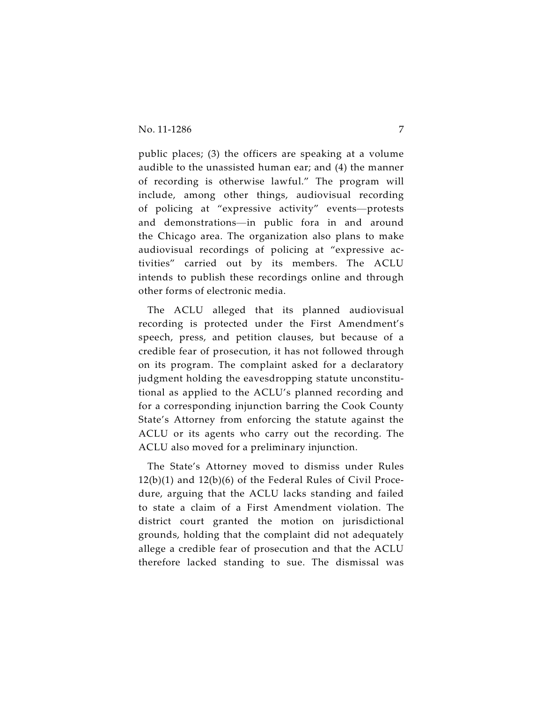public places; (3) the officers are speaking at a volume audible to the unassisted human ear; and (4) the manner of recording is otherwise lawful." The program will include, among other things, audiovisual recording of policing at "expressive activity" events—protests and demonstrations—in public fora in and around the Chicago area. The organization also plans to make audiovisual recordings of policing at "expressive activities" carried out by its members. The ACLU intends to publish these recordings online and through other forms of electronic media.

The ACLU alleged that its planned audiovisual recording is protected under the First Amendment's speech, press, and petition clauses, but because of a credible fear of prosecution, it has not followed through on its program. The complaint asked for a declaratory judgment holding the eavesdropping statute unconstitutional as applied to the ACLU's planned recording and for a corresponding injunction barring the Cook County State's Attorney from enforcing the statute against the ACLU or its agents who carry out the recording. The ACLU also moved for a preliminary injunction.

The State's Attorney moved to dismiss under Rules 12(b)(1) and 12(b)(6) of the Federal Rules of Civil Procedure, arguing that the ACLU lacks standing and failed to state a claim of a First Amendment violation. The district court granted the motion on jurisdictional grounds, holding that the complaint did not adequately allege a credible fear of prosecution and that the ACLU therefore lacked standing to sue. The dismissal was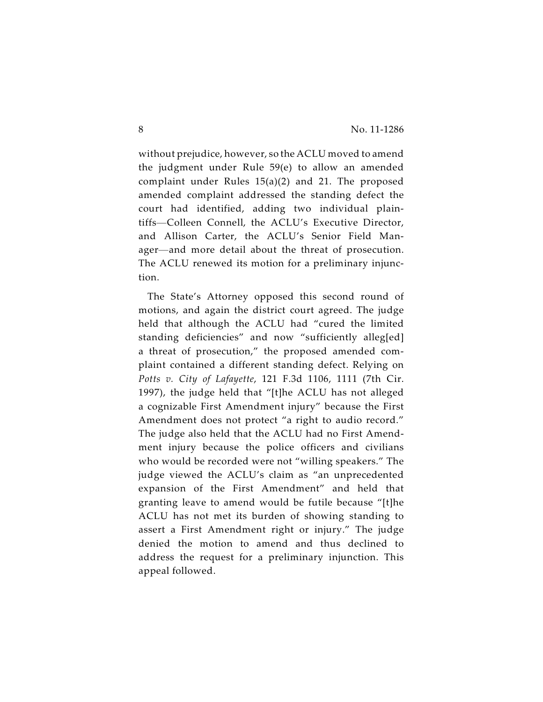without prejudice, however, so the ACLU moved to amend the judgment under Rule 59(e) to allow an amended complaint under Rules 15(a)(2) and 21. The proposed amended complaint addressed the standing defect the court had identified, adding two individual plaintiffs—Colleen Connell, the ACLU's Executive Director, and Allison Carter, the ACLU's Senior Field Manager—and more detail about the threat of prosecution. The ACLU renewed its motion for a preliminary injunction.

The State's Attorney opposed this second round of motions, and again the district court agreed. The judge held that although the ACLU had "cured the limited standing deficiencies" and now "sufficiently alleg[ed] a threat of prosecution," the proposed amended complaint contained a different standing defect. Relying on *Potts v. City of Lafayette*, 121 F.3d 1106, 1111 (7th Cir. 1997), the judge held that "[t]he ACLU has not alleged a cognizable First Amendment injury" because the First Amendment does not protect "a right to audio record." The judge also held that the ACLU had no First Amendment injury because the police officers and civilians who would be recorded were not "willing speakers." The judge viewed the ACLU's claim as "an unprecedented expansion of the First Amendment" and held that granting leave to amend would be futile because "[t]he ACLU has not met its burden of showing standing to assert a First Amendment right or injury." The judge denied the motion to amend and thus declined to address the request for a preliminary injunction. This appeal followed.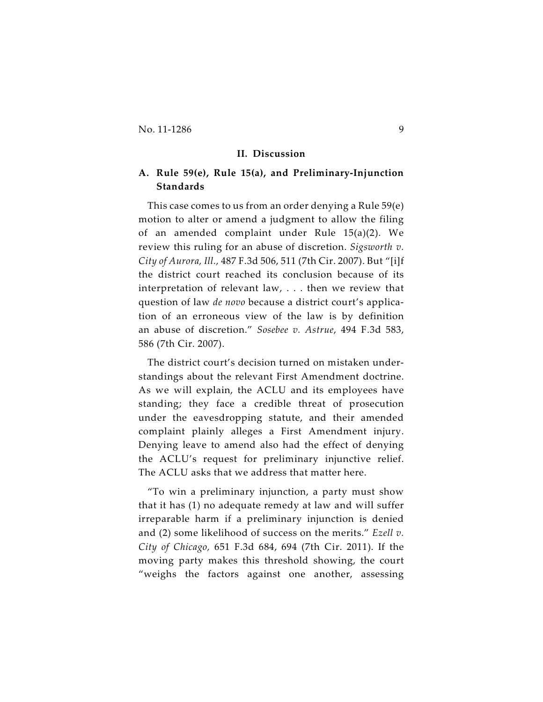#### **II. Discussion**

# **A. Rule 59(e), Rule 15(a), and Preliminary-Injunction Standards**

This case comes to us from an order denying a Rule 59(e) motion to alter or amend a judgment to allow the filing of an amended complaint under Rule 15(a)(2). We review this ruling for an abuse of discretion. *Sigsworth v. City of Aurora, Ill.,* 487 F.3d 506, 511 (7th Cir. 2007). But "[i]f the district court reached its conclusion because of its interpretation of relevant law, . . . then we review that question of law *de novo* because a district court's application of an erroneous view of the law is by definition an abuse of discretion." *Sosebee v. Astrue*, 494 F.3d 583, 586 (7th Cir. 2007).

The district court's decision turned on mistaken understandings about the relevant First Amendment doctrine. As we will explain, the ACLU and its employees have standing; they face a credible threat of prosecution under the eavesdropping statute, and their amended complaint plainly alleges a First Amendment injury. Denying leave to amend also had the effect of denying the ACLU's request for preliminary injunctive relief. The ACLU asks that we address that matter here.

"To win a preliminary injunction, a party must show that it has (1) no adequate remedy at law and will suffer irreparable harm if a preliminary injunction is denied and (2) some likelihood of success on the merits." *Ezell v. City of Chicago,* 651 F.3d 684, 694 (7th Cir. 2011). If the moving party makes this threshold showing, the court "weighs the factors against one another, assessing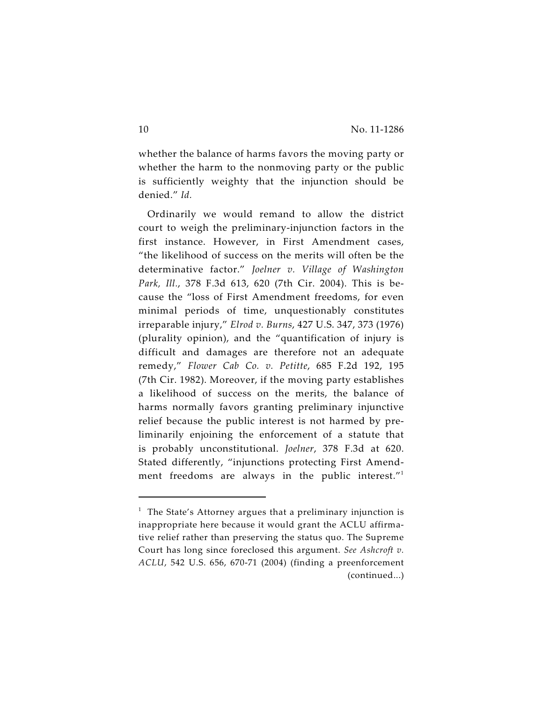whether the balance of harms favors the moving party or whether the harm to the nonmoving party or the public is sufficiently weighty that the injunction should be denied." *Id.*

Ordinarily we would remand to allow the district court to weigh the preliminary-injunction factors in the first instance. However, in First Amendment cases, "the likelihood of success on the merits will often be the determinative factor." *Joelner v. Village of Washington Park, Ill.*, 378 F.3d 613, 620 (7th Cir. 2004). This is because the "loss of First Amendment freedoms, for even minimal periods of time, unquestionably constitutes irreparable injury," *Elrod v. Burns*, 427 U.S. 347, 373 (1976) (plurality opinion), and the "quantification of injury is difficult and damages are therefore not an adequate remedy," *Flower Cab Co. v. Petitte*, 685 F.2d 192, 195 (7th Cir. 1982). Moreover, if the moving party establishes a likelihood of success on the merits, the balance of harms normally favors granting preliminary injunctive relief because the public interest is not harmed by preliminarily enjoining the enforcement of a statute that is probably unconstitutional. *Joelner*, 378 F.3d at 620. Stated differently, "injunctions protecting First Amendment freedoms are always in the public interest."<sup>1</sup>

 $1$  The State's Attorney argues that a preliminary injunction is inappropriate here because it would grant the ACLU affirmative relief rather than preserving the status quo. The Supreme Court has long since foreclosed this argument. *See Ashcroft v. ACLU*, 542 U.S. 656, 670-71 (2004) (finding a preenforcement (continued...)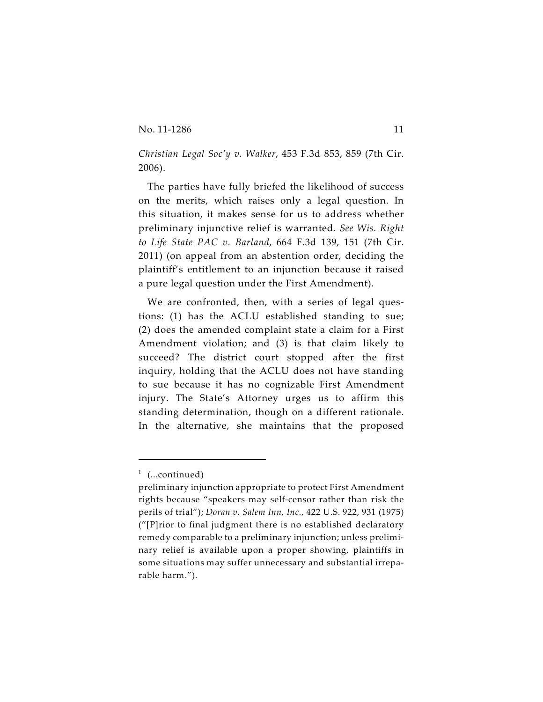*Christian Legal Soc'y v. Walker*, 453 F.3d 853, 859 (7th Cir. 2006).

The parties have fully briefed the likelihood of success on the merits, which raises only a legal question. In this situation, it makes sense for us to address whether preliminary injunctive relief is warranted. *See Wis. Right to Life State PAC v. Barland*, 664 F.3d 139, 151 (7th Cir. 2011) (on appeal from an abstention order, deciding the plaintiff's entitlement to an injunction because it raised a pure legal question under the First Amendment).

We are confronted, then, with a series of legal questions: (1) has the ACLU established standing to sue; (2) does the amended complaint state a claim for a First Amendment violation; and (3) is that claim likely to succeed? The district court stopped after the first inquiry, holding that the ACLU does not have standing to sue because it has no cognizable First Amendment injury. The State's Attorney urges us to affirm this standing determination, though on a different rationale. In the alternative, she maintains that the proposed

 $1$  (...continued)

preliminary injunction appropriate to protect First Amendment rights because "speakers may self-censor rather than risk the perils of trial"); *Doran v. Salem Inn, Inc.*, 422 U.S. 922, 931 (1975) ("[P]rior to final judgment there is no established declaratory remedy comparable to a preliminary injunction; unless preliminary relief is available upon a proper showing, plaintiffs in some situations may suffer unnecessary and substantial irreparable harm.").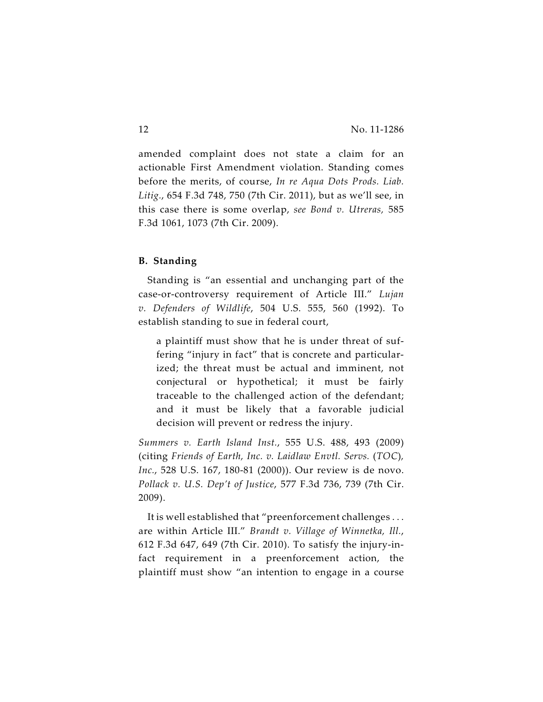amended complaint does not state a claim for an actionable First Amendment violation. Standing comes before the merits, of course, *In re Aqua Dots Prods. Liab. Litig.*, 654 F.3d 748, 750 (7th Cir. 2011), but as we'll see, in this case there is some overlap, *see Bond v. Utreras,* 585 F.3d 1061, 1073 (7th Cir. 2009).

## **B. Standing**

Standing is "an essential and unchanging part of the case-or-controversy requirement of Article III." *Lujan v. Defenders of Wildlife*, 504 U.S. 555, 560 (1992). To establish standing to sue in federal court,

a plaintiff must show that he is under threat of suffering "injury in fact" that is concrete and particularized; the threat must be actual and imminent, not conjectural or hypothetical; it must be fairly traceable to the challenged action of the defendant; and it must be likely that a favorable judicial decision will prevent or redress the injury.

*Summers v. Earth Island Inst.*, 555 U.S. 488, 493 (2009) (citing *Friends of Earth, Inc. v. Laidlaw Envtl. Servs.* (*TOC*)*, Inc.*, 528 U.S. 167, 180-81 (2000)). Our review is de novo. *Pollack v. U.S. Dep't of Justice*, 577 F.3d 736, 739 (7th Cir. 2009).

It is well established that "preenforcement challenges . . . are within Article III." *Brandt v. Village of Winnetka, Ill.*, 612 F.3d 647, 649 (7th Cir. 2010). To satisfy the injury-infact requirement in a preenforcement action, the plaintiff must show "an intention to engage in a course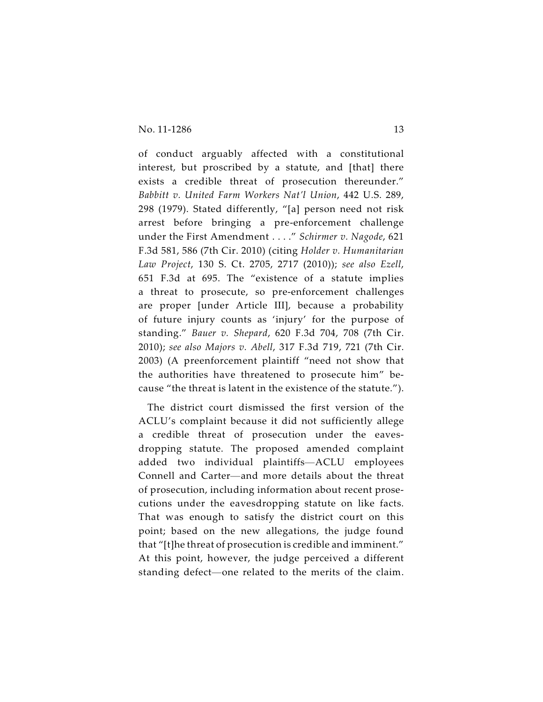of conduct arguably affected with a constitutional interest, but proscribed by a statute, and [that] there exists a credible threat of prosecution thereunder." *Babbitt v. United Farm Workers Nat'l Union*, 442 U.S. 289, 298 (1979). Stated differently, "[a] person need not risk arrest before bringing a pre-enforcement challenge under the First Amendment . . . ." *Schirmer v. Nagode*, 621 F.3d 581, 586 (7th Cir. 2010) (citing *Holder v. Humanitarian Law Project*, 130 S. Ct. 2705, 2717 (2010)); *see also Ezell*, 651 F.3d at 695. The "existence of a statute implies a threat to prosecute, so pre-enforcement challenges are proper [under Article III], because a probability of future injury counts as 'injury' for the purpose of standing." *Bauer v. Shepard*, 620 F.3d 704, 708 (7th Cir. 2010); *see also Majors v. Abell*, 317 F.3d 719, 721 (7th Cir. 2003) (A preenforcement plaintiff "need not show that the authorities have threatened to prosecute him" because "the threat is latent in the existence of the statute.").

The district court dismissed the first version of the ACLU's complaint because it did not sufficiently allege a credible threat of prosecution under the eavesdropping statute. The proposed amended complaint added two individual plaintiffs—ACLU employees Connell and Carter—and more details about the threat of prosecution, including information about recent prosecutions under the eavesdropping statute on like facts. That was enough to satisfy the district court on this point; based on the new allegations, the judge found that "[t]he threat of prosecution is credible and imminent." At this point, however, the judge perceived a different standing defect—one related to the merits of the claim.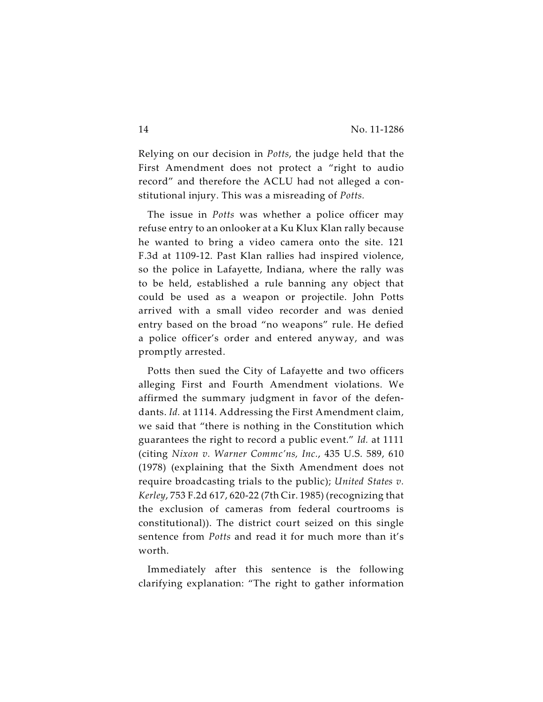Relying on our decision in *Potts*, the judge held that the First Amendment does not protect a "right to audio record" and therefore the ACLU had not alleged a constitutional injury. This was a misreading of *Potts.*

The issue in *Potts* was whether a police officer may refuse entry to an onlooker at a Ku Klux Klan rally because he wanted to bring a video camera onto the site. 121 F.3d at 1109-12. Past Klan rallies had inspired violence, so the police in Lafayette, Indiana, where the rally was to be held, established a rule banning any object that could be used as a weapon or projectile. John Potts arrived with a small video recorder and was denied entry based on the broad "no weapons" rule. He defied a police officer's order and entered anyway, and was promptly arrested.

Potts then sued the City of Lafayette and two officers alleging First and Fourth Amendment violations. We affirmed the summary judgment in favor of the defendants. *Id.* at 1114. Addressing the First Amendment claim, we said that "there is nothing in the Constitution which guarantees the right to record a public event." *Id.* at 1111 (citing *Nixon v. Warner Commc'ns, Inc.*, 435 U.S. 589, 610 (1978) (explaining that the Sixth Amendment does not require broadcasting trials to the public); *United States v. Kerley*, 753 F.2d 617, 620-22 (7th Cir. 1985) (recognizing that the exclusion of cameras from federal courtrooms is constitutional)). The district court seized on this single sentence from *Potts* and read it for much more than it's worth.

Immediately after this sentence is the following clarifying explanation: "The right to gather information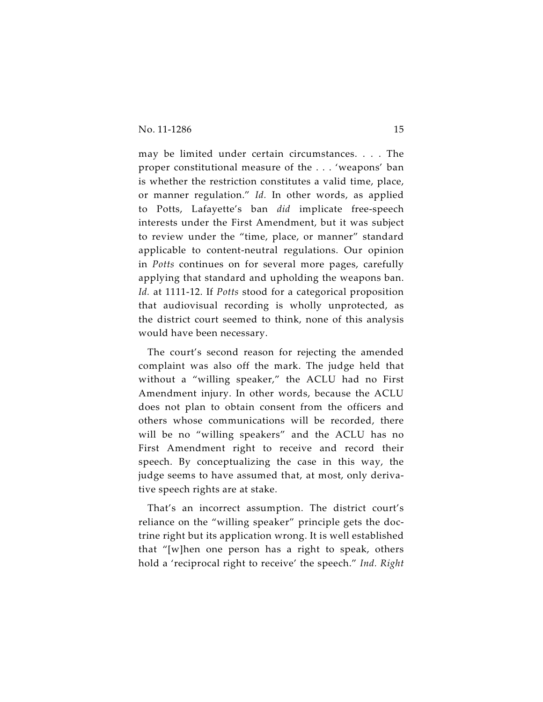may be limited under certain circumstances. . . . The proper constitutional measure of the . . . 'weapons' ban is whether the restriction constitutes a valid time, place, or manner regulation." *Id.* In other words, as applied to Potts, Lafayette's ban *did* implicate free-speech interests under the First Amendment, but it was subject to review under the "time, place, or manner" standard applicable to content-neutral regulations. Our opinion in *Potts* continues on for several more pages, carefully applying that standard and upholding the weapons ban. *Id.* at 1111-12. If *Potts* stood for a categorical proposition that audiovisual recording is wholly unprotected, as the district court seemed to think, none of this analysis would have been necessary.

The court's second reason for rejecting the amended complaint was also off the mark. The judge held that without a "willing speaker," the ACLU had no First Amendment injury. In other words, because the ACLU does not plan to obtain consent from the officers and others whose communications will be recorded, there will be no "willing speakers" and the ACLU has no First Amendment right to receive and record their speech. By conceptualizing the case in this way, the judge seems to have assumed that, at most, only derivative speech rights are at stake.

That's an incorrect assumption. The district court's reliance on the "willing speaker" principle gets the doctrine right but its application wrong. It is well established that "[w]hen one person has a right to speak, others hold a 'reciprocal right to receive' the speech." *Ind. Right*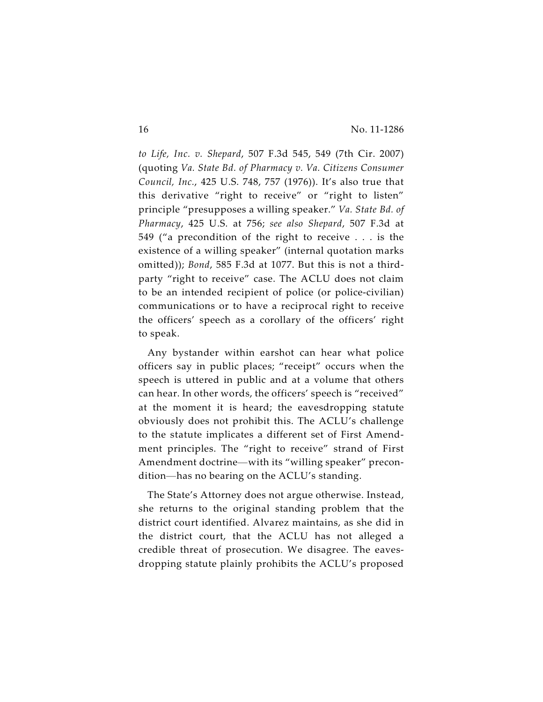*to Life, Inc. v. Shepard*, 507 F.3d 545, 549 (7th Cir. 2007) (quoting *Va. State Bd. of Pharmacy v. Va. Citizens Consumer Council, Inc.*, 425 U.S. 748, 757 (1976)). It's also true that this derivative "right to receive" or "right to listen" principle "presupposes a willing speaker." *Va. State Bd. of Pharmacy*, 425 U.S. at 756; *see also Shepard*, 507 F.3d at 549 ("a precondition of the right to receive . . . is the existence of a willing speaker" (internal quotation marks omitted)); *Bond*, 585 F.3d at 1077. But this is not a thirdparty "right to receive" case. The ACLU does not claim to be an intended recipient of police (or police-civilian) communications or to have a reciprocal right to receive the officers' speech as a corollary of the officers' right to speak.

Any bystander within earshot can hear what police officers say in public places; "receipt" occurs when the speech is uttered in public and at a volume that others can hear. In other words, the officers' speech is "received" at the moment it is heard; the eavesdropping statute obviously does not prohibit this. The ACLU's challenge to the statute implicates a different set of First Amendment principles. The "right to receive" strand of First Amendment doctrine—with its "willing speaker" precondition—has no bearing on the ACLU's standing.

The State's Attorney does not argue otherwise. Instead, she returns to the original standing problem that the district court identified. Alvarez maintains, as she did in the district court, that the ACLU has not alleged a credible threat of prosecution. We disagree. The eavesdropping statute plainly prohibits the ACLU's proposed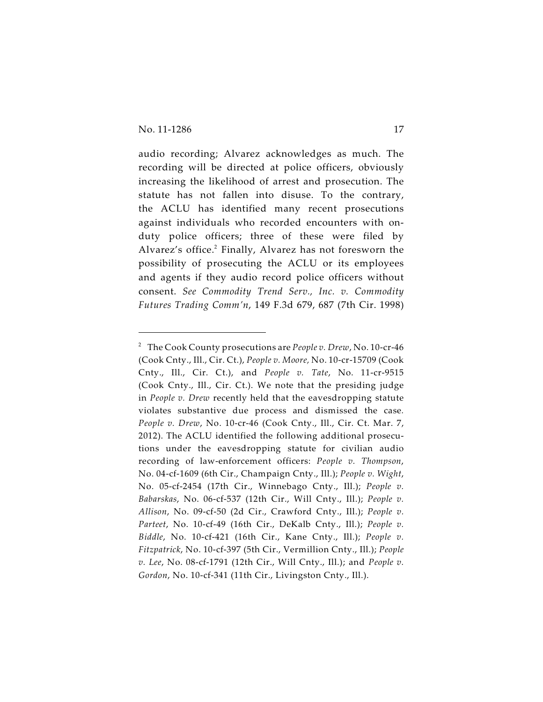audio recording; Alvarez acknowledges as much. The recording will be directed at police officers, obviously increasing the likelihood of arrest and prosecution. The statute has not fallen into disuse. To the contrary, the ACLU has identified many recent prosecutions against individuals who recorded encounters with onduty police officers; three of these were filed by Alvarez's office.<sup>2</sup> Finally, Alvarez has not foresworn the possibility of prosecuting the ACLU or its employees and agents if they audio record police officers without consent. *See Commodity Trend Serv., Inc. v. Commodity Futures Trading Comm'n*, 149 F.3d 679, 687 (7th Cir. 1998)

The Cook County prosecutions are *People v. Drew*, No. 10-cr-46 <sup>2</sup> (Cook Cnty., Ill., Cir. Ct.), *People v. Moore,* No. 10-cr-15709 (Cook Cnty., Ill., Cir. Ct.), and *People v. Tate*, No. 11-cr-9515 (Cook Cnty., Ill., Cir. Ct.). We note that the presiding judge in *People v. Drew* recently held that the eavesdropping statute violates substantive due process and dismissed the case*. People v. Drew*, No. 10-cr-46 (Cook Cnty., Ill., Cir. Ct. Mar. 7, 2012). The ACLU identified the following additional prosecutions under the eavesdropping statute for civilian audio recording of law-enforcement officers: *People v. Thompson*, No. 04-cf-1609 (6th Cir., Champaign Cnty., Ill.); *People v. Wight*, No. 05-cf-2454 (17th Cir., Winnebago Cnty., Ill.); *People v. Babarskas*, No. 06-cf-537 (12th Cir., Will Cnty., Ill.); *People v. Allison*, No. 09-cf-50 (2d Cir., Crawford Cnty., Ill.); *People v. Parteet*, No. 10-cf-49 (16th Cir., DeKalb Cnty., Ill.); *People v. Biddle*, No. 10-cf-421 (16th Cir., Kane Cnty., Ill.); *People v. Fitzpatrick*, No. 10-cf-397 (5th Cir., Vermillion Cnty., Ill.); *People v. Lee*, No. 08-cf-1791 (12th Cir., Will Cnty., Ill.); and *People v. Gordon*, No. 10-cf-341 (11th Cir., Livingston Cnty., Ill.).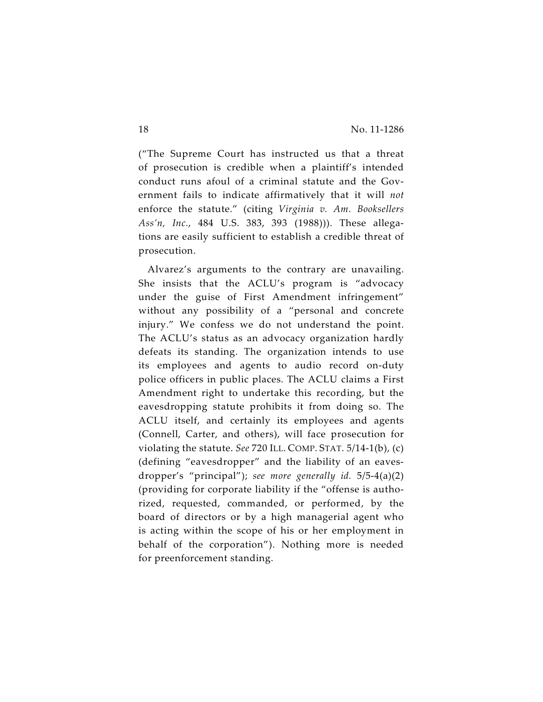("The Supreme Court has instructed us that a threat of prosecution is credible when a plaintiff's intended conduct runs afoul of a criminal statute and the Government fails to indicate affirmatively that it will *not* enforce the statute." (citing *Virginia v. Am. Booksellers Ass'n, Inc.*, 484 U.S. 383, 393 (1988))). These allegations are easily sufficient to establish a credible threat of prosecution.

Alvarez's arguments to the contrary are unavailing. She insists that the ACLU's program is "advocacy under the guise of First Amendment infringement" without any possibility of a "personal and concrete injury." We confess we do not understand the point. The ACLU's status as an advocacy organization hardly defeats its standing. The organization intends to use its employees and agents to audio record on-duty police officers in public places. The ACLU claims a First Amendment right to undertake this recording, but the eavesdropping statute prohibits it from doing so. The ACLU itself, and certainly its employees and agents (Connell, Carter, and others), will face prosecution for violating the statute. *See* 720 ILL. COMP. STAT. 5/14-1(b), (c) (defining "eavesdropper" and the liability of an eavesdropper's "principal"); *see more generally id.* 5/5-4(a)(2) (providing for corporate liability if the "offense is authorized, requested, commanded, or performed, by the board of directors or by a high managerial agent who is acting within the scope of his or her employment in behalf of the corporation"). Nothing more is needed for preenforcement standing.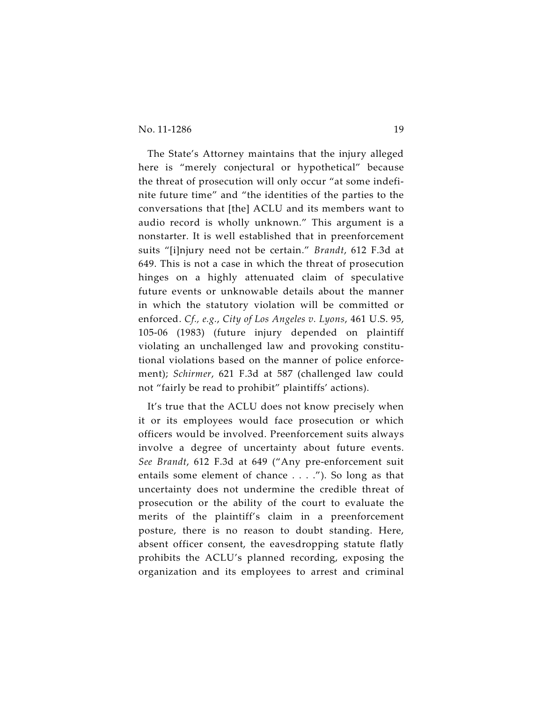## No. 11-1286 19

The State's Attorney maintains that the injury alleged here is "merely conjectural or hypothetical" because the threat of prosecution will only occur "at some indefinite future time" and "the identities of the parties to the conversations that [the] ACLU and its members want to audio record is wholly unknown." This argument is a nonstarter. It is well established that in preenforcement suits "[i]njury need not be certain." *Brandt*, 612 F.3d at 649. This is not a case in which the threat of prosecution hinges on a highly attenuated claim of speculative future events or unknowable details about the manner in which the statutory violation will be committed or enforced. *Cf., e.g.*, *City of Los Angeles v. Lyons*, 461 U.S. 95, 105-06 (1983) (future injury depended on plaintiff violating an unchallenged law and provoking constitutional violations based on the manner of police enforcement); *Schirmer*, 621 F.3d at 587 (challenged law could not "fairly be read to prohibit" plaintiffs' actions).

It's true that the ACLU does not know precisely when it or its employees would face prosecution or which officers would be involved. Preenforcement suits always involve a degree of uncertainty about future events. *See Brandt*, 612 F.3d at 649 ("Any pre-enforcement suit entails some element of chance . . . ."). So long as that uncertainty does not undermine the credible threat of prosecution or the ability of the court to evaluate the merits of the plaintiff's claim in a preenforcement posture, there is no reason to doubt standing. Here, absent officer consent, the eavesdropping statute flatly prohibits the ACLU's planned recording, exposing the organization and its employees to arrest and criminal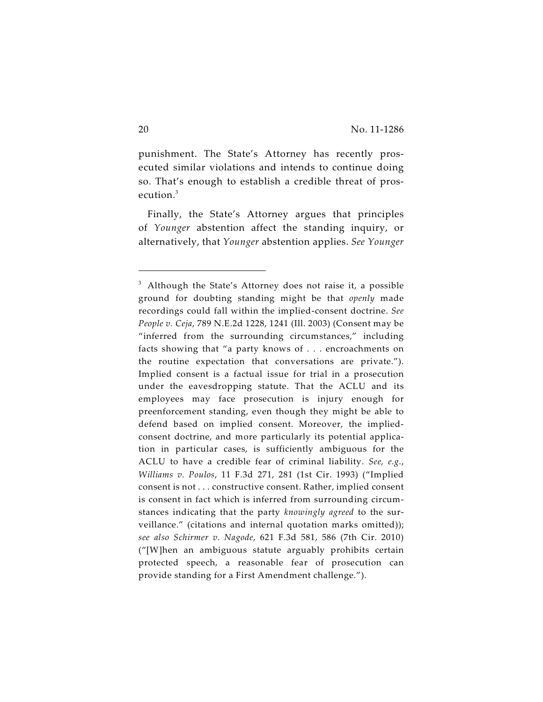punishment. The State's Attorney has recently prosecuted similar violations and intends to continue doing so. That's enough to establish a credible threat of prosecution.<sup>3</sup>

Finally, the State's Attorney argues that principles of *Younger* abstention affect the standing inquiry, or alternatively, that *Younger* abstention applies. *See Younger*

 $3$  Although the State's Attorney does not raise it, a possible ground for doubting standing might be that *openly* made recordings could fall within the implied-consent doctrine. *See People v. Ceja*, 789 N.E.2d 1228, 1241 (Ill. 2003) (Consent may be "inferred from the surrounding circumstances," including facts showing that "a party knows of . . . encroachments on the routine expectation that conversations are private."). Implied consent is a factual issue for trial in a prosecution under the eavesdropping statute. That the ACLU and its employees may face prosecution is injury enough for preenforcement standing, even though they might be able to defend based on implied consent. Moreover, the impliedconsent doctrine, and more particularly its potential application in particular cases, is sufficiently ambiguous for the ACLU to have a credible fear of criminal liability. *See, e.g.*, *Williams v. Poulos*, 11 F.3d 271, 281 (1st Cir. 1993) ("Implied consent is not . . . constructive consent. Rather, implied consent is consent in fact which is inferred from surrounding circumstances indicating that the party *knowingly agreed* to the surveillance." (citations and internal quotation marks omitted)); *see also Schirmer v. Nagode*, 621 F.3d 581, 586 (7th Cir. 2010) ("[W]hen an ambiguous statute arguably prohibits certain protected speech, a reasonable fear of prosecution can provide standing for a First Amendment challenge.").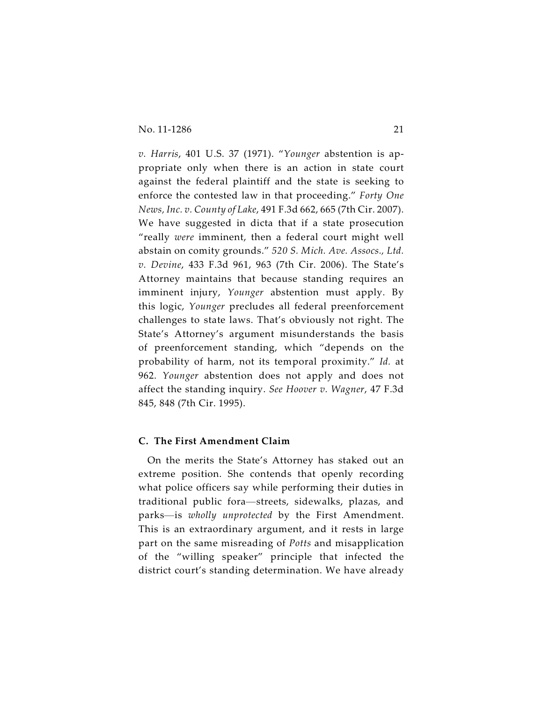*v. Harris*, 401 U.S. 37 (1971). "*Younger* abstention is appropriate only when there is an action in state court against the federal plaintiff and the state is seeking to enforce the contested law in that proceeding." *Forty One News, Inc. v. County of Lake*, 491 F.3d 662, 665 (7th Cir. 2007). We have suggested in dicta that if a state prosecution "really *were* imminent, then a federal court might well abstain on comity grounds." *520 S. Mich. Ave. Assocs., Ltd. v. Devine*, 433 F.3d 961, 963 (7th Cir. 2006). The State's Attorney maintains that because standing requires an imminent injury, *Younger* abstention must apply. By this logic, *Younger* precludes all federal preenforcement challenges to state laws. That's obviously not right. The State's Attorney's argument misunderstands the basis of preenforcement standing, which "depends on the probability of harm, not its temporal proximity." *Id.* at 962. *Younger* abstention does not apply and does not affect the standing inquiry. *See Hoover v. Wagner*, 47 F.3d 845, 848 (7th Cir. 1995).

#### **C. The First Amendment Claim**

On the merits the State's Attorney has staked out an extreme position. She contends that openly recording what police officers say while performing their duties in traditional public fora—streets, sidewalks, plazas, and parks—is *wholly unprotected* by the First Amendment. This is an extraordinary argument, and it rests in large part on the same misreading of *Potts* and misapplication of the "willing speaker" principle that infected the district court's standing determination. We have already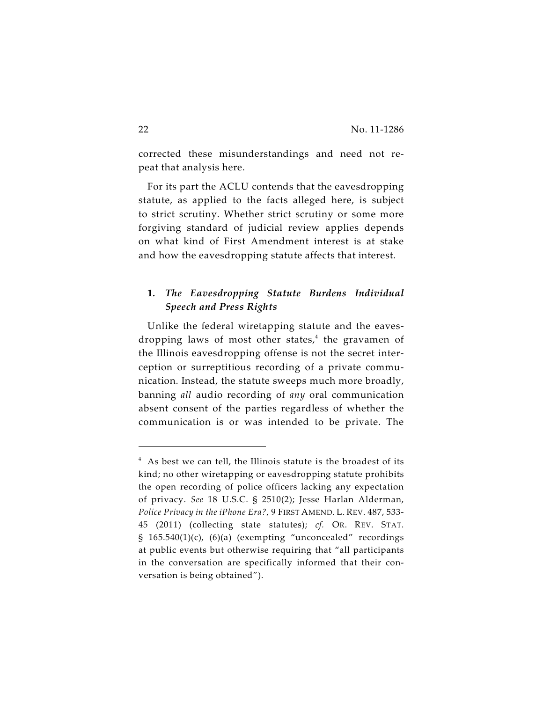corrected these misunderstandings and need not repeat that analysis here.

For its part the ACLU contends that the eavesdropping statute, as applied to the facts alleged here, is subject to strict scrutiny. Whether strict scrutiny or some more forgiving standard of judicial review applies depends on what kind of First Amendment interest is at stake and how the eavesdropping statute affects that interest.

# **1.** *The Eavesdropping Statute Burdens Individual Speech and Press Rights*

Unlike the federal wiretapping statute and the eavesdropping laws of most other states,<sup>4</sup> the gravamen of the Illinois eavesdropping offense is not the secret interception or surreptitious recording of a private communication. Instead, the statute sweeps much more broadly, banning *all* audio recording of *any* oral communication absent consent of the parties regardless of whether the communication is or was intended to be private. The

 $4$  As best we can tell, the Illinois statute is the broadest of its kind; no other wiretapping or eavesdropping statute prohibits the open recording of police officers lacking any expectation of privacy. *See* 18 U.S.C. § 2510(2); Jesse Harlan Alderman, *Police Privacy in the iPhone Era?*, 9 FIRST AMEND. L. REV. 487, 533- 45 (2011) (collecting state statutes); *cf.* OR. REV. STAT.  $§$  165.540(1)(c), (6)(a) (exempting "unconcealed" recordings at public events but otherwise requiring that "all participants in the conversation are specifically informed that their conversation is being obtained").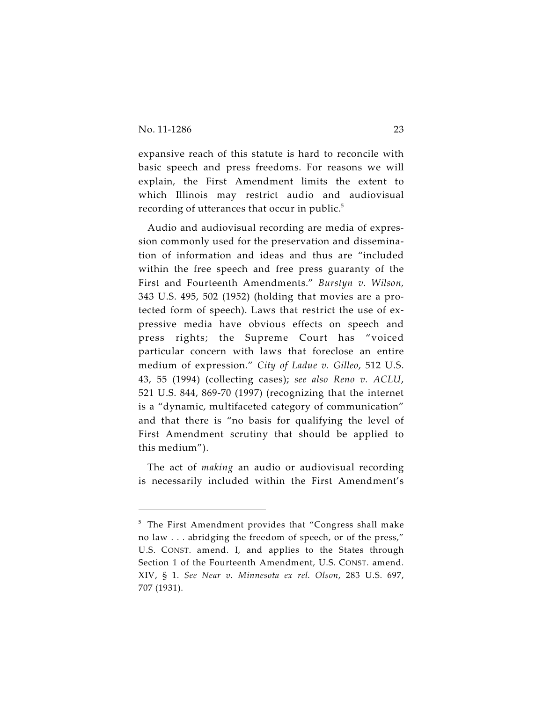expansive reach of this statute is hard to reconcile with basic speech and press freedoms. For reasons we will explain, the First Amendment limits the extent to which Illinois may restrict audio and audiovisual recording of utterances that occur in public.<sup>5</sup>

Audio and audiovisual recording are media of expression commonly used for the preservation and dissemination of information and ideas and thus are "included within the free speech and free press guaranty of the First and Fourteenth Amendments." *Burstyn v. Wilson,* 343 U.S. 495, 502 (1952) (holding that movies are a protected form of speech). Laws that restrict the use of expressive media have obvious effects on speech and press rights; the Supreme Court has "voiced particular concern with laws that foreclose an entire medium of expression." *City of Ladue v. Gilleo*, 512 U.S. 43, 55 (1994) (collecting cases); *see also Reno v. ACLU*, 521 U.S. 844, 869-70 (1997) (recognizing that the internet is a "dynamic, multifaceted category of communication" and that there is "no basis for qualifying the level of First Amendment scrutiny that should be applied to this medium").

The act of *making* an audio or audiovisual recording is necessarily included within the First Amendment's

 $5$  The First Amendment provides that "Congress shall make no law . . . abridging the freedom of speech, or of the press," U.S. CONST. amend. I, and applies to the States through Section 1 of the Fourteenth Amendment, U.S. CONST. amend. XIV, § 1. *See Near v. Minnesota ex rel. Olson*, 283 U.S. 697, 707 (1931).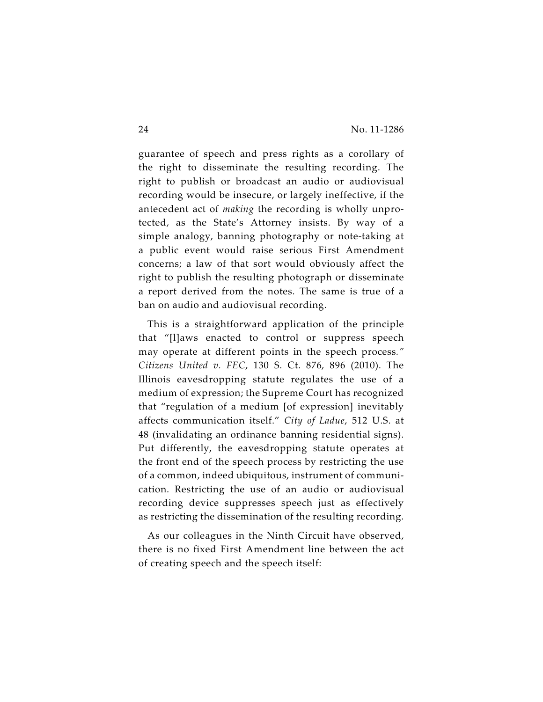guarantee of speech and press rights as a corollary of the right to disseminate the resulting recording. The right to publish or broadcast an audio or audiovisual recording would be insecure, or largely ineffective, if the antecedent act of *making* the recording is wholly unprotected, as the State's Attorney insists. By way of a simple analogy, banning photography or note-taking at a public event would raise serious First Amendment concerns; a law of that sort would obviously affect the right to publish the resulting photograph or disseminate a report derived from the notes. The same is true of a ban on audio and audiovisual recording.

This is a straightforward application of the principle that "[l]aws enacted to control or suppress speech may operate at different points in the speech process*." Citizens United v. FEC*, 130 S. Ct. 876, 896 (2010). The Illinois eavesdropping statute regulates the use of a medium of expression; the Supreme Court has recognized that "regulation of a medium [of expression] inevitably affects communication itself." *City of Ladue*, 512 U.S. at 48 (invalidating an ordinance banning residential signs). Put differently, the eavesdropping statute operates at the front end of the speech process by restricting the use of a common, indeed ubiquitous, instrument of communication. Restricting the use of an audio or audiovisual recording device suppresses speech just as effectively as restricting the dissemination of the resulting recording.

As our colleagues in the Ninth Circuit have observed, there is no fixed First Amendment line between the act of creating speech and the speech itself: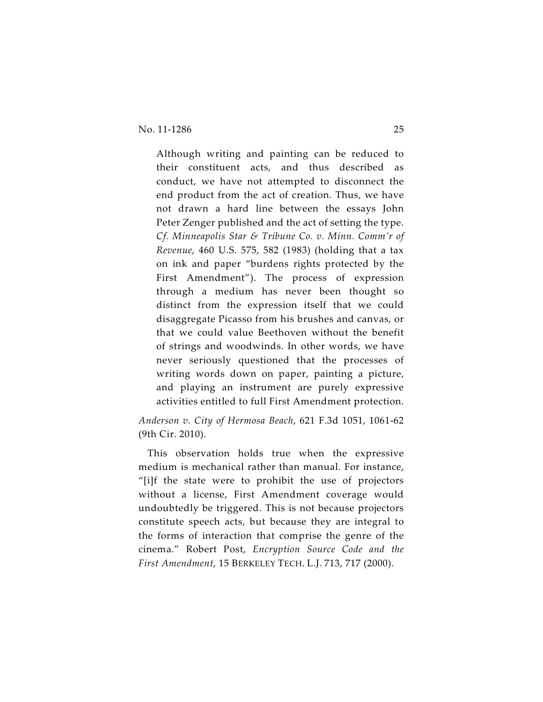Although writing and painting can be reduced to their constituent acts, and thus described as conduct, we have not attempted to disconnect the end product from the act of creation. Thus, we have not drawn a hard line between the essays John Peter Zenger published and the act of setting the type. *Cf. Minneapolis Star & Tribune Co. v. Minn. Comm'r of Revenue*, 460 U.S. 575, 582 (1983) (holding that a tax on ink and paper "burdens rights protected by the First Amendment"). The process of expression through a medium has never been thought so distinct from the expression itself that we could disaggregate Picasso from his brushes and canvas, or that we could value Beethoven without the benefit of strings and woodwinds. In other words, we have never seriously questioned that the processes of writing words down on paper, painting a picture, and playing an instrument are purely expressive activities entitled to full First Amendment protection.

*Anderson v. City of Hermosa Beach*, 621 F.3d 1051, 1061-62 (9th Cir. 2010).

This observation holds true when the expressive medium is mechanical rather than manual. For instance, "[i]f the state were to prohibit the use of projectors without a license, First Amendment coverage would undoubtedly be triggered. This is not because projectors constitute speech acts, but because they are integral to the forms of interaction that comprise the genre of the cinema." Robert Post, *Encryption Source Code and the First Amendment*, 15 BERKELEY TECH. L.J. 713, 717 (2000).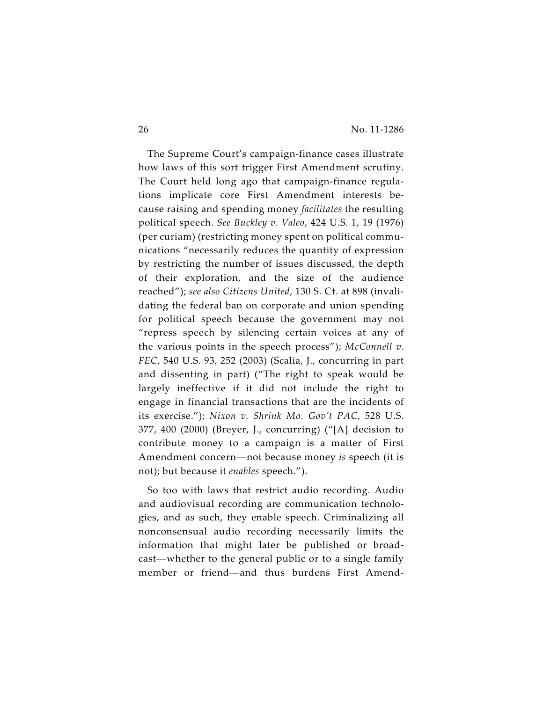The Supreme Court's campaign-finance cases illustrate how laws of this sort trigger First Amendment scrutiny. The Court held long ago that campaign-finance regulations implicate core First Amendment interests because raising and spending money *facilitates* the resulting political speech. *See Buckley v. Valeo*, 424 U.S. 1, 19 (1976) (per curiam) (restricting money spent on political communications "necessarily reduces the quantity of expression by restricting the number of issues discussed, the depth of their exploration, and the size of the audience reached"); *see also Citizens United*, 130 S. Ct. at 898 (invalidating the federal ban on corporate and union spending for political speech because the government may not "repress speech by silencing certain voices at any of the various points in the speech process"); *McConnell v. FEC*, 540 U.S. 93, 252 (2003) (Scalia, J., concurring in part and dissenting in part) ("The right to speak would be largely ineffective if it did not include the right to engage in financial transactions that are the incidents of its exercise."); *Nixon v. Shrink Mo. Gov't PAC*, 528 U.S. 377, 400 (2000) (Breyer, J., concurring) ("[A] decision to contribute money to a campaign is a matter of First Amendment concern—not because money *is* speech (it is not); but because it *enables* speech.").

So too with laws that restrict audio recording. Audio and audiovisual recording are communication technologies, and as such, they enable speech. Criminalizing all nonconsensual audio recording necessarily limits the information that might later be published or broadcast—whether to the general public or to a single family member or friend—and thus burdens First Amend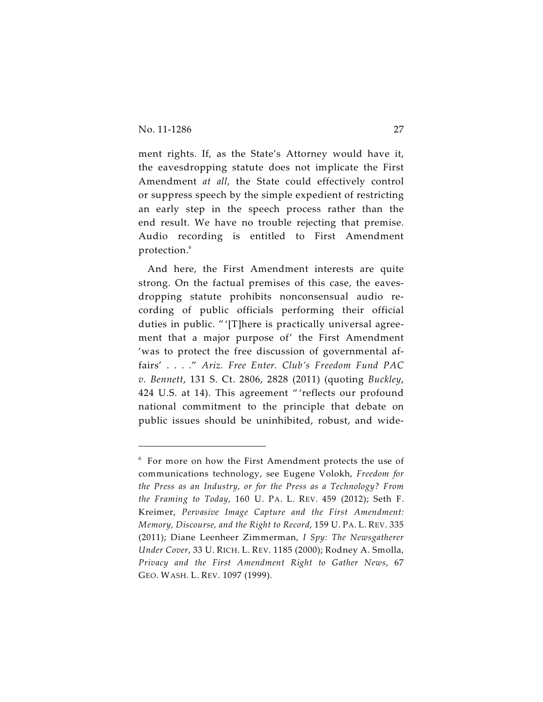ment rights. If, as the State's Attorney would have it, the eavesdropping statute does not implicate the First Amendment *at all*, the State could effectively control or suppress speech by the simple expedient of restricting an early step in the speech process rather than the end result. We have no trouble rejecting that premise. Audio recording is entitled to First Amendment protection.<sup>6</sup>

And here, the First Amendment interests are quite strong. On the factual premises of this case, the eavesdropping statute prohibits nonconsensual audio recording of public officials performing their official duties in public. " '[T]here is practically universal agreement that a major purpose of' the First Amendment 'was to protect the free discussion of governmental affairs' . . . ." *Ariz. Free Enter. Club's Freedom Fund PAC v. Bennett*, 131 S. Ct. 2806, 2828 (2011) (quoting *Buckley*, 424 U.S. at 14). This agreement " 'reflects our profound national commitment to the principle that debate on public issues should be uninhibited, robust, and wide-

 $6$  For more on how the First Amendment protects the use of communications technology, see Eugene Volokh, *Freedom for the Press as an Industry, or for the Press as a Technology? From the Framing to Today*, 160 U. PA. L. REV. 459 (2012); Seth F. Kreimer, *Pervasive Image Capture and the First Amendment: Memory, Discourse, and the Right to Record*, 159 U. PA. L. REV. 335 (2011); Diane Leenheer Zimmerman, *I Spy: The Newsgatherer Under Cover*, 33 U. RICH. L. REV. 1185 (2000); Rodney A. Smolla, *Privacy and the First Amendment Right to Gather News*, 67 GEO. WASH. L. REV. 1097 (1999).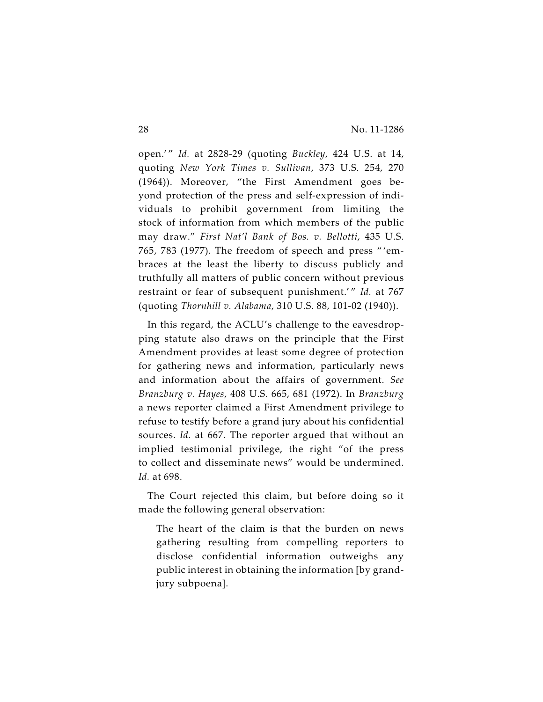open.' " *Id.* at 2828-29 (quoting *Buckley*, 424 U.S. at 14, quoting *New York Times v. Sullivan*, 373 U.S. 254, 270 (1964)). Moreover, "the First Amendment goes beyond protection of the press and self-expression of individuals to prohibit government from limiting the stock of information from which members of the public may draw." *First Nat'l Bank of Bos. v. Bellotti*, 435 U.S. 765, 783 (1977). The freedom of speech and press " 'embraces at the least the liberty to discuss publicly and truthfully all matters of public concern without previous restraint or fear of subsequent punishment.'" Id. at 767 (quoting *Thornhill v. Alabama*, 310 U.S. 88, 101-02 (1940)).

In this regard, the ACLU's challenge to the eavesdropping statute also draws on the principle that the First Amendment provides at least some degree of protection for gathering news and information, particularly news and information about the affairs of government. *See Branzburg v. Hayes*, 408 U.S. 665, 681 (1972). In *Branzburg* a news reporter claimed a First Amendment privilege to refuse to testify before a grand jury about his confidential sources. *Id.* at 667. The reporter argued that without an implied testimonial privilege, the right "of the press to collect and disseminate news" would be undermined. *Id.* at 698.

The Court rejected this claim, but before doing so it made the following general observation:

The heart of the claim is that the burden on news gathering resulting from compelling reporters to disclose confidential information outweighs any public interest in obtaining the information [by grandjury subpoena].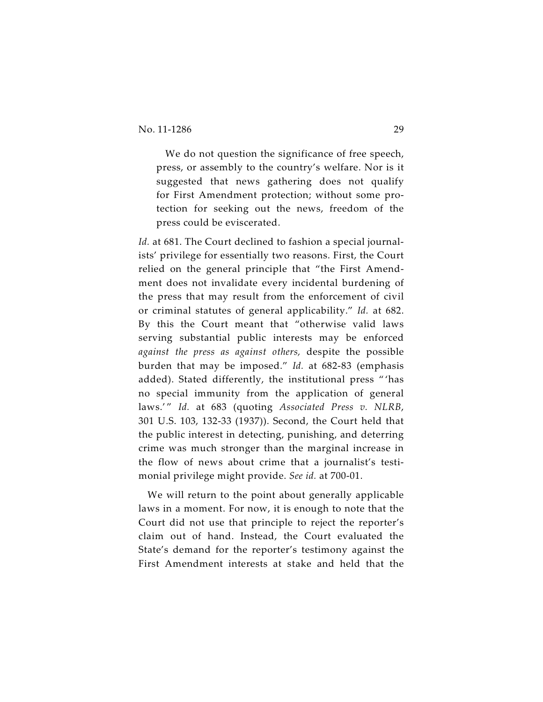We do not question the significance of free speech, press, or assembly to the country's welfare. Nor is it suggested that news gathering does not qualify for First Amendment protection; without some protection for seeking out the news, freedom of the press could be eviscerated.

Id. at 681. The Court declined to fashion a special journalists' privilege for essentially two reasons. First, the Court relied on the general principle that "the First Amendment does not invalidate every incidental burdening of the press that may result from the enforcement of civil or criminal statutes of general applicability." *Id.* at 682. By this the Court meant that "otherwise valid laws serving substantial public interests may be enforced *against the press as against others,* despite the possible burden that may be imposed." *Id.* at 682-83 (emphasis added). Stated differently, the institutional press " 'has no special immunity from the application of general laws.'" Id. at 683 (quoting *Associated Press v. NLRB*, 301 U.S. 103, 132-33 (1937)). Second, the Court held that the public interest in detecting, punishing, and deterring crime was much stronger than the marginal increase in the flow of news about crime that a journalist's testimonial privilege might provide. *See id.* at 700-01.

We will return to the point about generally applicable laws in a moment. For now, it is enough to note that the Court did not use that principle to reject the reporter's claim out of hand. Instead, the Court evaluated the State's demand for the reporter's testimony against the First Amendment interests at stake and held that the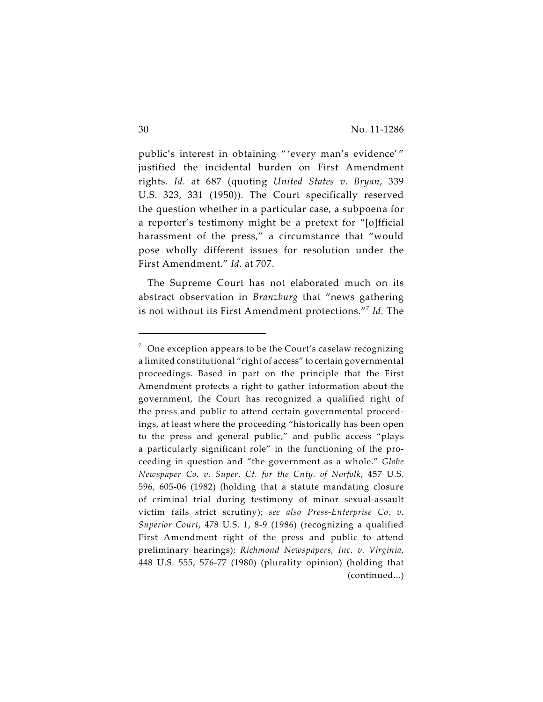public's interest in obtaining " 'every man's evidence' " justified the incidental burden on First Amendment rights. *Id.* at 687 (quoting *United States v. Bryan*, 339 U.S. 323, 331 (1950)). The Court specifically reserved the question whether in a particular case, a subpoena for a reporter's testimony might be a pretext for "[o]fficial harassment of the press," a circumstance that "would pose wholly different issues for resolution under the First Amendment." *Id.* at 707.

The Supreme Court has not elaborated much on its abstract observation in *Branzburg* that "news gathering is not without its First Amendment protections."<sup>7</sup> Id. The

 $\sigma$  One exception appears to be the Court's caselaw recognizing a limited constitutional "right of access" to certain governmental proceedings. Based in part on the principle that the First Amendment protects a right to gather information about the government, the Court has recognized a qualified right of the press and public to attend certain governmental proceedings, at least where the proceeding "historically has been open to the press and general public," and public access "plays a particularly significant role" in the functioning of the proceeding in question and "the government as a whole." *Globe Newspaper Co. v. Super. Ct. for the Cnty. of Norfolk*, 457 U.S. 596, 605-06 (1982) (holding that a statute mandating closure of criminal trial during testimony of minor sexual-assault victim fails strict scrutiny); *see also Press-Enterprise Co. v. Superior Court*, 478 U.S. 1, 8-9 (1986) (recognizing a qualified First Amendment right of the press and public to attend preliminary hearings); *Richmond Newspapers, Inc. v. Virginia*, 448 U.S. 555, 576-77 (1980) (plurality opinion) (holding that (continued...)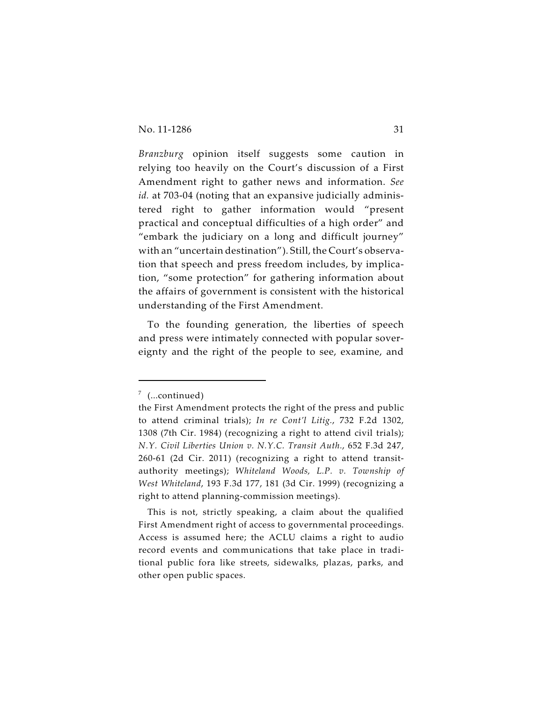*Branzburg* opinion itself suggests some caution in relying too heavily on the Court's discussion of a First Amendment right to gather news and information. *See id.* at 703-04 (noting that an expansive judicially administered right to gather information would "present practical and conceptual difficulties of a high order" and "embark the judiciary on a long and difficult journey" with an "uncertain destination"). Still, the Court's observation that speech and press freedom includes, by implication, "some protection" for gathering information about the affairs of government is consistent with the historical understanding of the First Amendment.

To the founding generation, the liberties of speech and press were intimately connected with popular sovereignty and the right of the people to see, examine, and

 $7$  (...continued)

the First Amendment protects the right of the press and public to attend criminal trials); *In re Cont'l Litig.*, 732 F.2d 1302, 1308 (7th Cir. 1984) (recognizing a right to attend civil trials); *N.Y. Civil Liberties Union v. N.Y.C. Transit Auth.*, 652 F.3d 247, 260-61 (2d Cir. 2011) (recognizing a right to attend transitauthority meetings); *Whiteland Woods, L.P. v. Township of West Whiteland*, 193 F.3d 177, 181 (3d Cir. 1999) (recognizing a right to attend planning-commission meetings).

This is not, strictly speaking, a claim about the qualified First Amendment right of access to governmental proceedings. Access is assumed here; the ACLU claims a right to audio record events and communications that take place in traditional public fora like streets, sidewalks, plazas, parks, and other open public spaces.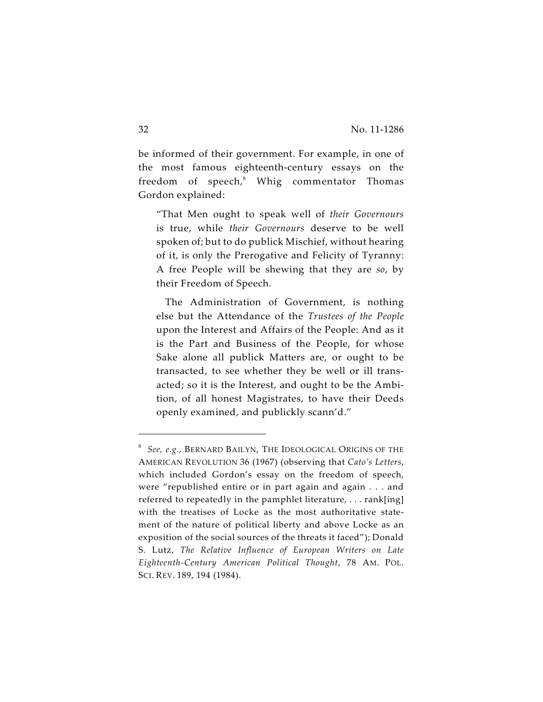be informed of their government. For example, in one of the most famous eighteenth-century essays on the freedom of  $speedo<sub>n</sub><sup>8</sup>$  Whig commentator Thomas Gordon explained:

"That Men ought to speak well of *their Governours* is true, while *their Governours* deserve to be well spoken of; but to do publick Mischief, without hearing of it, is only the Prerogative and Felicity of Tyranny: A free People will be shewing that they are *so*, by their Freedom of Speech.

The Administration of Government, is nothing else but the Attendance of the *Trustees of the People* upon the Interest and Affairs of the People: And as it is the Part and Business of the People, for whose Sake alone all publick Matters are, or ought to be transacted, to see whether they be well or ill transacted; so it is the Interest, and ought to be the Ambition, of all honest Magistrates, to have their Deeds openly examined, and publickly scann'd."

*See, e.g.*, BERNARD BAILYN, THE IDEOLOGICAL ORIGINS OF THE <sup>8</sup> AMERICAN REVOLUTION 36 (1967) (observing that *Cato's Letters*, which included Gordon's essay on the freedom of speech, were "republished entire or in part again and again . . . and referred to repeatedly in the pamphlet literature, . . . rank[ing] with the treatises of Locke as the most authoritative statement of the nature of political liberty and above Locke as an exposition of the social sources of the threats it faced"); Donald S. Lutz, *The Relative Influence of European Writers on Late Eighteenth-Century American Political Thought*, 78 AM. POL. SCI. REV. 189, 194 (1984).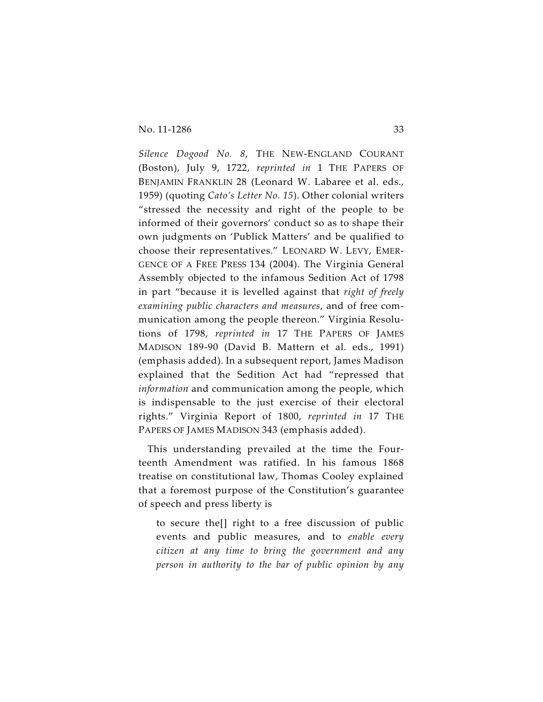*Silence Dogood No. 8*, THE NEW-ENGLAND COURANT (Boston), July 9, 1722, *reprinted in* 1 THE PAPERS OF BENJAMIN FRANKLIN 28 (Leonard W. Labaree et al. eds., 1959) (quoting *Cato's Letter No. 15*). Other colonial writers "stressed the necessity and right of the people to be informed of their governors' conduct so as to shape their own judgments on 'Publick Matters' and be qualified to choose their representatives." LEONARD W. LEVY, EMER-GENCE OF A FREE PRESS 134 (2004). The Virginia General Assembly objected to the infamous Sedition Act of 1798 in part "because it is levelled against that *right of freely examining public characters and measures*, and of free communication among the people thereon." Virginia Resolutions of 1798, *reprinted in* 17 THE PAPERS OF JAMES MADISON 189-90 (David B. Mattern et al. eds., 1991) (emphasis added). In a subsequent report, James Madison explained that the Sedition Act had "repressed that *information* and communication among the people, which is indispensable to the just exercise of their electoral rights." Virginia Report of 1800, *reprinted in* 17 THE PAPERS OF JAMES MADISON 343 (emphasis added).

This understanding prevailed at the time the Fourteenth Amendment was ratified. In his famous 1868 treatise on constitutional law, Thomas Cooley explained that a foremost purpose of the Constitution's guarantee of speech and press liberty is

to secure the[] right to a free discussion of public events and public measures, and to *enable every citizen at any time to bring the government and any person in authority to the bar of public opinion by any*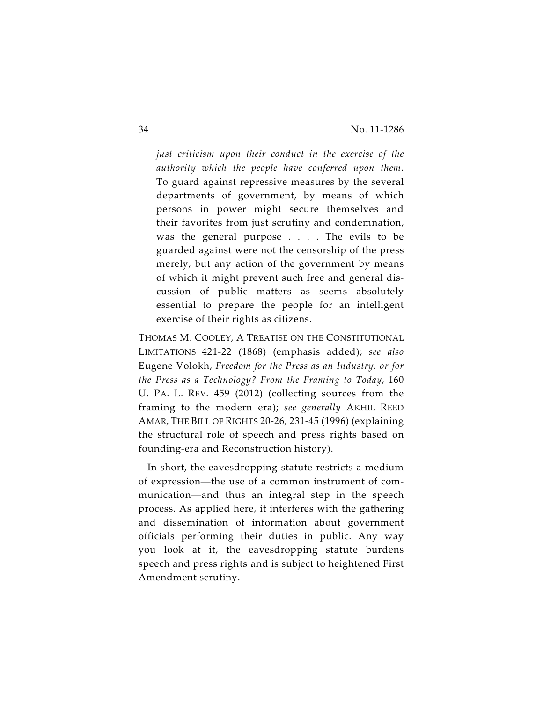*just criticism upon their conduct in the exercise of the authority which the people have conferred upon them.* To guard against repressive measures by the several departments of government, by means of which persons in power might secure themselves and their favorites from just scrutiny and condemnation, was the general purpose . . . . The evils to be guarded against were not the censorship of the press merely, but any action of the government by means of which it might prevent such free and general discussion of public matters as seems absolutely essential to prepare the people for an intelligent exercise of their rights as citizens.

THOMAS M. COOLEY, A TREATISE ON THE CONSTITUTIONAL LIMITATIONS 421-22 (1868) (emphasis added); *see also* Eugene Volokh, *Freedom for the Press as an Industry, or for the Press as a Technology? From the Framing to Today*, 160 U. PA. L. REV. 459 (2012) (collecting sources from the framing to the modern era); *see generally* AKHIL REED AMAR, THE BILL OF RIGHTS 20-26, 231-45 (1996) (explaining the structural role of speech and press rights based on founding-era and Reconstruction history).

In short, the eavesdropping statute restricts a medium of expression—the use of a common instrument of communication—and thus an integral step in the speech process. As applied here, it interferes with the gathering and dissemination of information about government officials performing their duties in public. Any way you look at it, the eavesdropping statute burdens speech and press rights and is subject to heightened First Amendment scrutiny.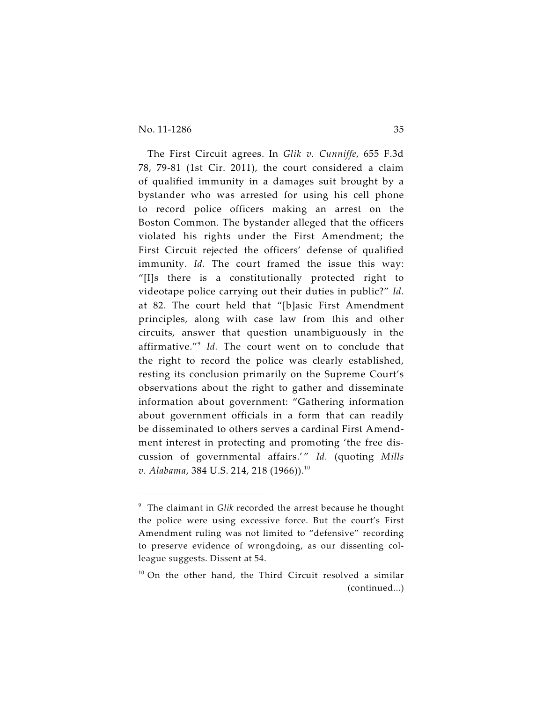The First Circuit agrees. In *Glik v. Cunniffe*, 655 F.3d 78, 79-81 (1st Cir. 2011), the court considered a claim of qualified immunity in a damages suit brought by a bystander who was arrested for using his cell phone to record police officers making an arrest on the Boston Common. The bystander alleged that the officers violated his rights under the First Amendment; the First Circuit rejected the officers' defense of qualified immunity. *Id.* The court framed the issue this way: "[I]s there is a constitutionally protected right to videotape police carrying out their duties in public?" *Id.* at 82. The court held that "[b]asic First Amendment principles, along with case law from this and other circuits, answer that question unambiguously in the affirmative."<sup>9</sup> Id. The court went on to conclude that the right to record the police was clearly established, resting its conclusion primarily on the Supreme Court's observations about the right to gather and disseminate information about government: "Gathering information about government officials in a form that can readily be disseminated to others serves a cardinal First Amendment interest in protecting and promoting 'the free discussion of governmental affairs.' " *Id.* (quoting *Mills v. Alabama*, 384 U.S. 214, 218 (1966)). 10

<sup>&</sup>lt;sup>9</sup> The claimant in Glik recorded the arrest because he thought the police were using excessive force. But the court's First Amendment ruling was not limited to "defensive" recording to preserve evidence of wrongdoing, as our dissenting colleague suggests. Dissent at 54.

 $10$  On the other hand, the Third Circuit resolved a similar (continued...)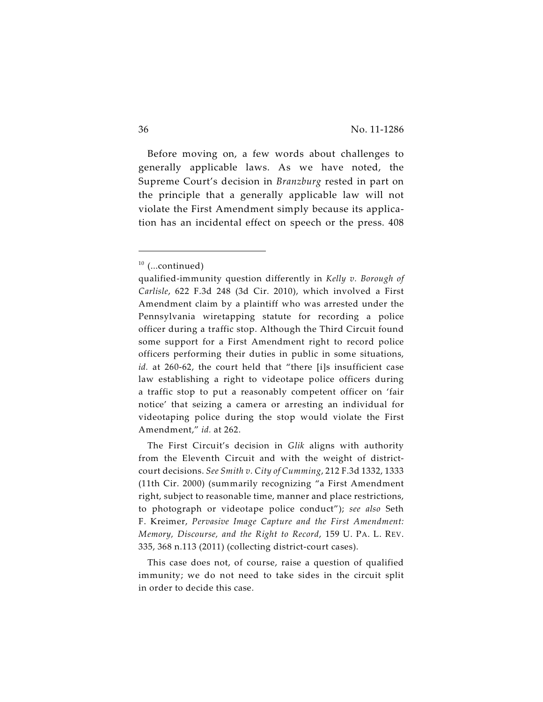Before moving on, a few words about challenges to generally applicable laws. As we have noted, the Supreme Court's decision in *Branzburg* rested in part on the principle that a generally applicable law will not violate the First Amendment simply because its application has an incidental effect on speech or the press. 408

The First Circuit's decision in *Glik* aligns with authority from the Eleventh Circuit and with the weight of districtcourt decisions. *See Smith v. City of Cumming*, 212 F.3d 1332, 1333 (11th Cir. 2000) (summarily recognizing "a First Amendment right, subject to reasonable time, manner and place restrictions, to photograph or videotape police conduct"); *see also* Seth F. Kreimer, *Pervasive Image Capture and the First Amendment: Memory, Discourse, and the Right to Record*, 159 U. PA. L. REV. 335, 368 n.113 (2011) (collecting district-court cases).

This case does not, of course, raise a question of qualified immunity; we do not need to take sides in the circuit split in order to decide this case.

 $10$  (...continued)

qualified-immunity question differently in *Kelly v. Borough of Carlisle*, 622 F.3d 248 (3d Cir. 2010), which involved a First Amendment claim by a plaintiff who was arrested under the Pennsylvania wiretapping statute for recording a police officer during a traffic stop. Although the Third Circuit found some support for a First Amendment right to record police officers performing their duties in public in some situations, id. at 260-62, the court held that "there [i]s insufficient case law establishing a right to videotape police officers during a traffic stop to put a reasonably competent officer on 'fair notice' that seizing a camera or arresting an individual for videotaping police during the stop would violate the First Amendment," *id.* at 262.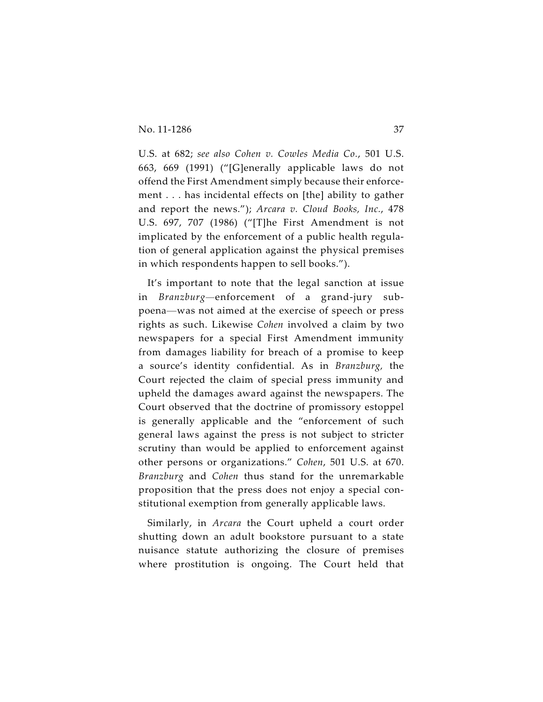U.S. at 682; *see also Cohen v. Cowles Media Co.*, 501 U.S. 663, 669 (1991) ("[G]enerally applicable laws do not offend the First Amendment simply because their enforcement . . . has incidental effects on [the] ability to gather and report the news."); *Arcara v. Cloud Books, Inc.*, 478 U.S. 697, 707 (1986) ("[T]he First Amendment is not implicated by the enforcement of a public health regulation of general application against the physical premises in which respondents happen to sell books.").

It's important to note that the legal sanction at issue in *Branzburg—*enforcement of a grand-jury subpoena—was not aimed at the exercise of speech or press rights as such. Likewise *Cohen* involved a claim by two newspapers for a special First Amendment immunity from damages liability for breach of a promise to keep a source's identity confidential. As in *Branzburg,* the Court rejected the claim of special press immunity and upheld the damages award against the newspapers. The Court observed that the doctrine of promissory estoppel is generally applicable and the "enforcement of such general laws against the press is not subject to stricter scrutiny than would be applied to enforcement against other persons or organizations." *Cohen*, 501 U.S. at 670. *Branzburg* and *Cohen* thus stand for the unremarkable proposition that the press does not enjoy a special constitutional exemption from generally applicable laws.

Similarly, in *Arcara* the Court upheld a court order shutting down an adult bookstore pursuant to a state nuisance statute authorizing the closure of premises where prostitution is ongoing. The Court held that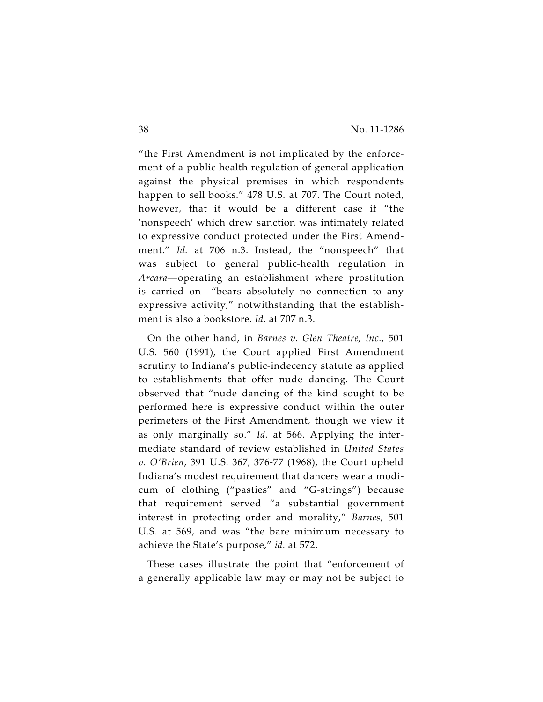"the First Amendment is not implicated by the enforcement of a public health regulation of general application against the physical premises in which respondents happen to sell books." 478 U.S. at 707. The Court noted, however, that it would be a different case if "the 'nonspeech' which drew sanction was intimately related to expressive conduct protected under the First Amendment." *Id.* at 706 n.3. Instead, the "nonspeech" that was subject to general public-health regulation in *Arcara*—operating an establishment where prostitution is carried on—"bears absolutely no connection to any expressive activity," notwithstanding that the establishment is also a bookstore. *Id.* at 707 n.3.

On the other hand, in *Barnes v. Glen Theatre, Inc.*, 501 U.S. 560 (1991), the Court applied First Amendment scrutiny to Indiana's public-indecency statute as applied to establishments that offer nude dancing. The Court observed that "nude dancing of the kind sought to be performed here is expressive conduct within the outer perimeters of the First Amendment, though we view it as only marginally so." *Id.* at 566. Applying the intermediate standard of review established in *United States v. O'Brien*, 391 U.S. 367, 376-77 (1968), the Court upheld Indiana's modest requirement that dancers wear a modicum of clothing ("pasties" and "G-strings") because that requirement served "a substantial government interest in protecting order and morality," *Barnes*, 501 U.S. at 569, and was "the bare minimum necessary to achieve the State's purpose," *id.* at 572.

These cases illustrate the point that "enforcement of a generally applicable law may or may not be subject to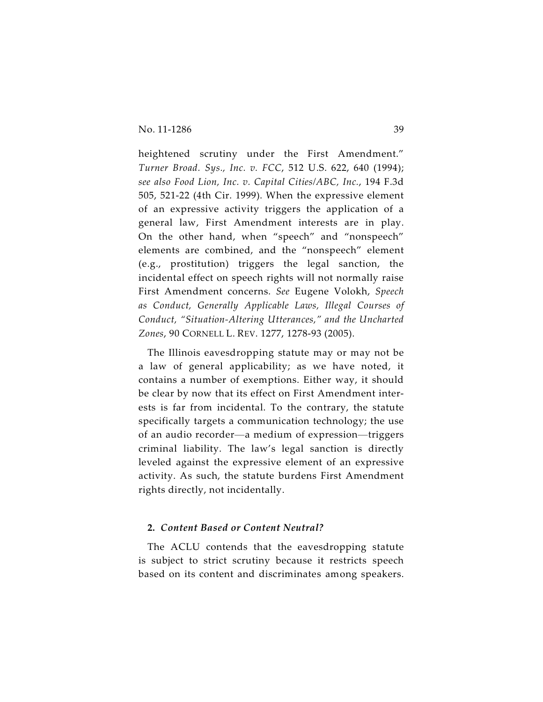heightened scrutiny under the First Amendment." *Turner Broad. Sys., Inc. v. FCC*, 512 U.S. 622, 640 (1994); *see also Food Lion, Inc. v. Capital Cities/ABC, Inc.*, 194 F.3d 505, 521-22 (4th Cir. 1999). When the expressive element of an expressive activity triggers the application of a general law, First Amendment interests are in play. On the other hand, when "speech" and "nonspeech" elements are combined, and the "nonspeech" element (e.g., prostitution) triggers the legal sanction, the incidental effect on speech rights will not normally raise First Amendment concerns. *See* Eugene Volokh, *Speech as Conduct, Generally Applicable Laws, Illegal Courses of Conduct, "Situation-Altering Utterances," and the Uncharted Zones*, 90 CORNELL L. REV. 1277, 1278-93 (2005).

The Illinois eavesdropping statute may or may not be a law of general applicability; as we have noted, it contains a number of exemptions. Either way, it should be clear by now that its effect on First Amendment interests is far from incidental. To the contrary, the statute specifically targets a communication technology; the use of an audio recorder—a medium of expression—triggers criminal liability. The law's legal sanction is directly leveled against the expressive element of an expressive activity. As such, the statute burdens First Amendment rights directly, not incidentally.

# **2.** *Content Based or Content Neutral?*

The ACLU contends that the eavesdropping statute is subject to strict scrutiny because it restricts speech based on its content and discriminates among speakers.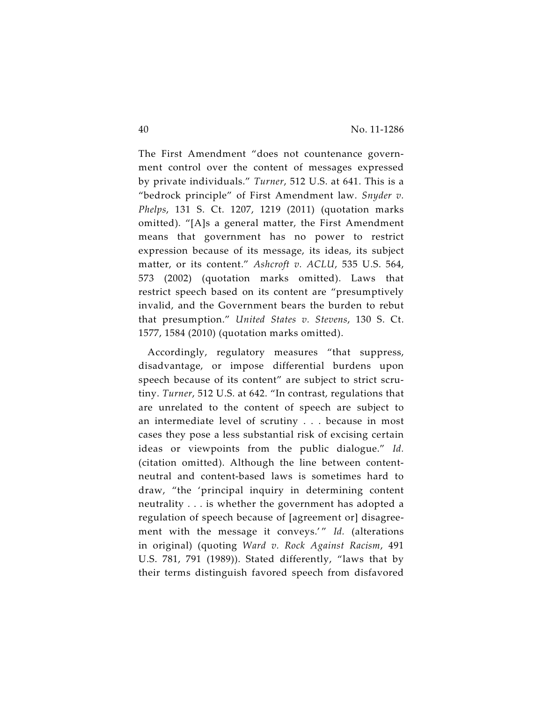The First Amendment "does not countenance government control over the content of messages expressed by private individuals." *Turner*, 512 U.S. at 641. This is a "bedrock principle" of First Amendment law. *Snyder v. Phelps*, 131 S. Ct. 1207, 1219 (2011) (quotation marks omitted). "[A]s a general matter, the First Amendment means that government has no power to restrict expression because of its message, its ideas, its subject matter, or its content." *Ashcroft v. ACLU*, 535 U.S. 564, 573 (2002) (quotation marks omitted). Laws that restrict speech based on its content are "presumptively invalid, and the Government bears the burden to rebut that presumption." *United States v. Stevens*, 130 S. Ct. 1577, 1584 (2010) (quotation marks omitted).

Accordingly, regulatory measures "that suppress, disadvantage, or impose differential burdens upon speech because of its content" are subject to strict scrutiny. *Turner*, 512 U.S. at 642. "In contrast, regulations that are unrelated to the content of speech are subject to an intermediate level of scrutiny . . . because in most cases they pose a less substantial risk of excising certain ideas or viewpoints from the public dialogue." *Id.* (citation omitted). Although the line between contentneutral and content-based laws is sometimes hard to draw, "the 'principal inquiry in determining content neutrality . . . is whether the government has adopted a regulation of speech because of [agreement or] disagreement with the message it conveys.'" Id. (alterations in original) (quoting *Ward v. Rock Against Racism*, 491 U.S. 781, 791 (1989)). Stated differently, "laws that by their terms distinguish favored speech from disfavored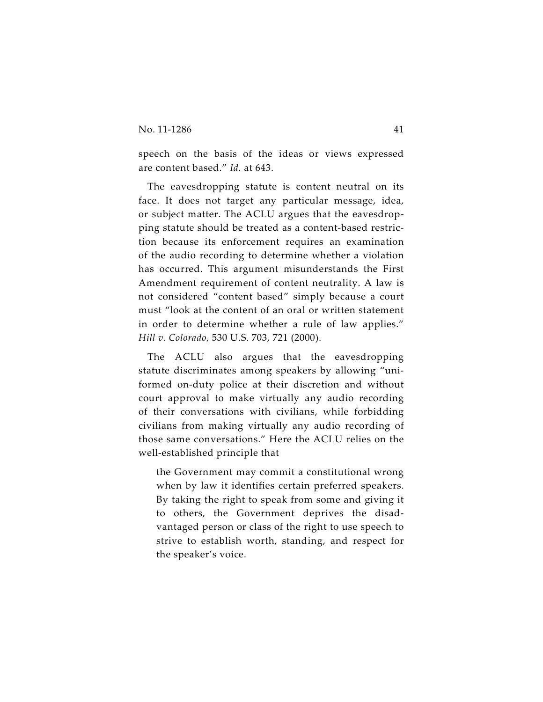speech on the basis of the ideas or views expressed are content based." *Id.* at 643.

The eavesdropping statute is content neutral on its face. It does not target any particular message, idea, or subject matter. The ACLU argues that the eavesdropping statute should be treated as a content-based restriction because its enforcement requires an examination of the audio recording to determine whether a violation has occurred. This argument misunderstands the First Amendment requirement of content neutrality. A law is not considered "content based" simply because a court must "look at the content of an oral or written statement in order to determine whether a rule of law applies." *Hill v. Colorado*, 530 U.S. 703, 721 (2000).

The ACLU also argues that the eavesdropping statute discriminates among speakers by allowing "uniformed on-duty police at their discretion and without court approval to make virtually any audio recording of their conversations with civilians, while forbidding civilians from making virtually any audio recording of those same conversations." Here the ACLU relies on the well-established principle that

the Government may commit a constitutional wrong when by law it identifies certain preferred speakers. By taking the right to speak from some and giving it to others, the Government deprives the disadvantaged person or class of the right to use speech to strive to establish worth, standing, and respect for the speaker's voice.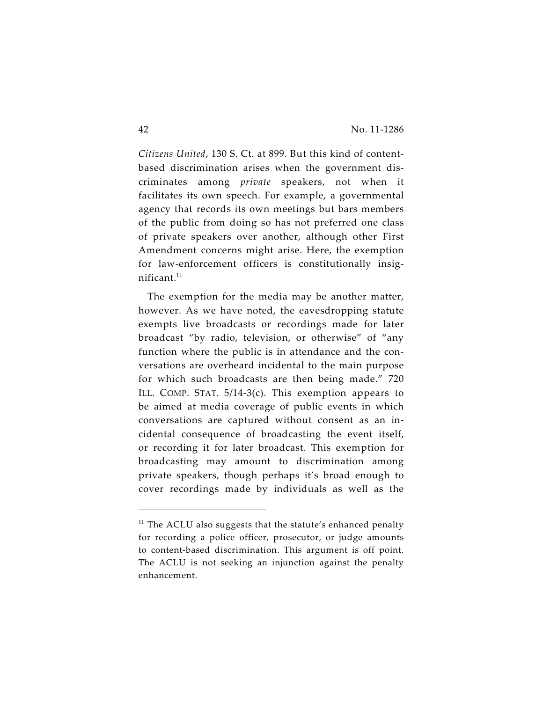*Citizens United*, 130 S. Ct. at 899. But this kind of contentbased discrimination arises when the government discriminates among *private* speakers, not when it facilitates its own speech. For example, a governmental agency that records its own meetings but bars members of the public from doing so has not preferred one class of private speakers over another, although other First Amendment concerns might arise. Here, the exemption for law-enforcement officers is constitutionally insignificant.<sup>11</sup>

The exemption for the media may be another matter, however. As we have noted, the eavesdropping statute exempts live broadcasts or recordings made for later broadcast "by radio, television, or otherwise" of "any function where the public is in attendance and the conversations are overheard incidental to the main purpose for which such broadcasts are then being made." 720 ILL. COMP. STAT. 5/14-3(c). This exemption appears to be aimed at media coverage of public events in which conversations are captured without consent as an incidental consequence of broadcasting the event itself, or recording it for later broadcast. This exemption for broadcasting may amount to discrimination among private speakers, though perhaps it's broad enough to cover recordings made by individuals as well as the

 $11$  The ACLU also suggests that the statute's enhanced penalty for recording a police officer, prosecutor, or judge amounts to content-based discrimination. This argument is off point. The ACLU is not seeking an injunction against the penalty enhancement.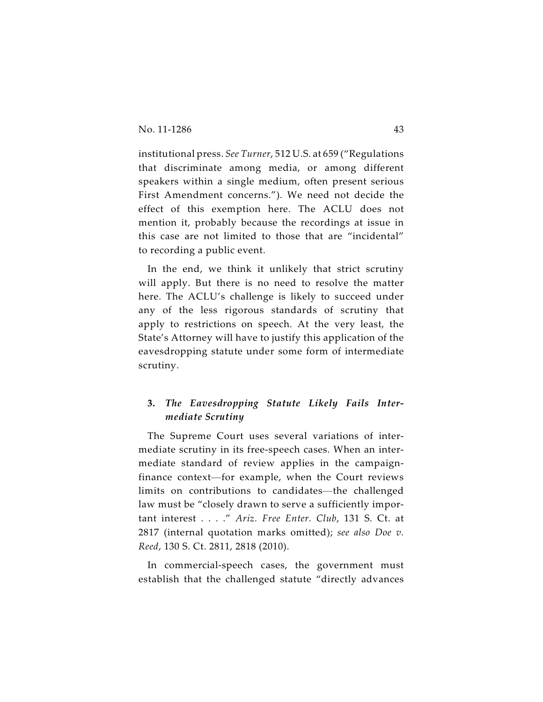institutional press. *See Turner*, 512 U.S. at 659 ("Regulations that discriminate among media, or among different speakers within a single medium, often present serious First Amendment concerns."). We need not decide the effect of this exemption here. The ACLU does not mention it, probably because the recordings at issue in this case are not limited to those that are "incidental" to recording a public event.

In the end, we think it unlikely that strict scrutiny will apply. But there is no need to resolve the matter here. The ACLU's challenge is likely to succeed under any of the less rigorous standards of scrutiny that apply to restrictions on speech. At the very least, the State's Attorney will have to justify this application of the eavesdropping statute under some form of intermediate scrutiny.

# **3.** *The Eavesdropping Statute Likely Fails Intermediate Scrutiny*

The Supreme Court uses several variations of intermediate scrutiny in its free-speech cases. When an intermediate standard of review applies in the campaignfinance context—for example, when the Court reviews limits on contributions to candidates—the challenged law must be "closely drawn to serve a sufficiently important interest . . . ." *Ariz. Free Enter. Club*, 131 S. Ct. at 2817 (internal quotation marks omitted); *see also Doe v. Reed*, 130 S. Ct. 2811, 2818 (2010).

In commercial-speech cases, the government must establish that the challenged statute "directly advances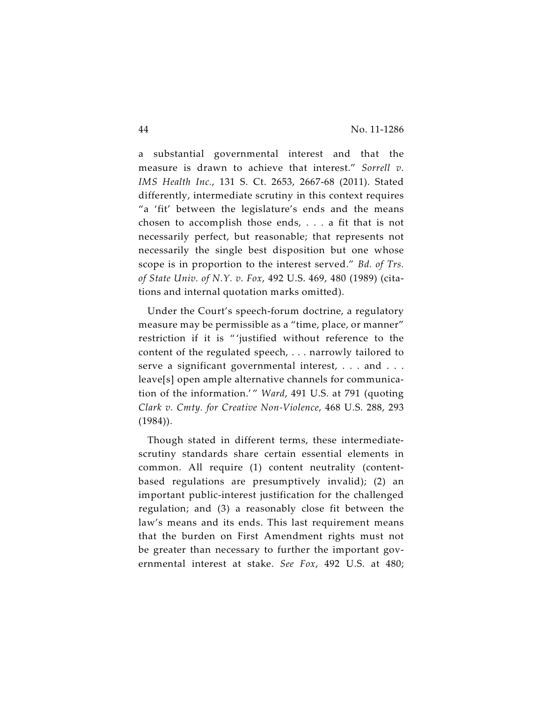a substantial governmental interest and that the measure is drawn to achieve that interest." *Sorrell v. IMS Health Inc.*, 131 S. Ct. 2653, 2667-68 (2011). Stated differently, intermediate scrutiny in this context requires "a 'fit' between the legislature's ends and the means chosen to accomplish those ends, . . . a fit that is not necessarily perfect, but reasonable; that represents not necessarily the single best disposition but one whose scope is in proportion to the interest served." *Bd. of Trs. of State Univ. of N.Y. v. Fox*, 492 U.S. 469, 480 (1989) (citations and internal quotation marks omitted).

Under the Court's speech-forum doctrine, a regulatory measure may be permissible as a "time, place, or manner" restriction if it is " 'justified without reference to the content of the regulated speech, . . . narrowly tailored to serve a significant governmental interest, . . . and . . . leave[s] open ample alternative channels for communication of the information.' " *Ward*, 491 U.S. at 791 (quoting *Clark v. Cmty. for Creative Non-Violence*, 468 U.S. 288, 293  $(1984)$ .

Though stated in different terms, these intermediatescrutiny standards share certain essential elements in common. All require (1) content neutrality (contentbased regulations are presumptively invalid); (2) an important public-interest justification for the challenged regulation; and (3) a reasonably close fit between the law's means and its ends. This last requirement means that the burden on First Amendment rights must not be greater than necessary to further the important governmental interest at stake. *See Fox*, 492 U.S. at 480;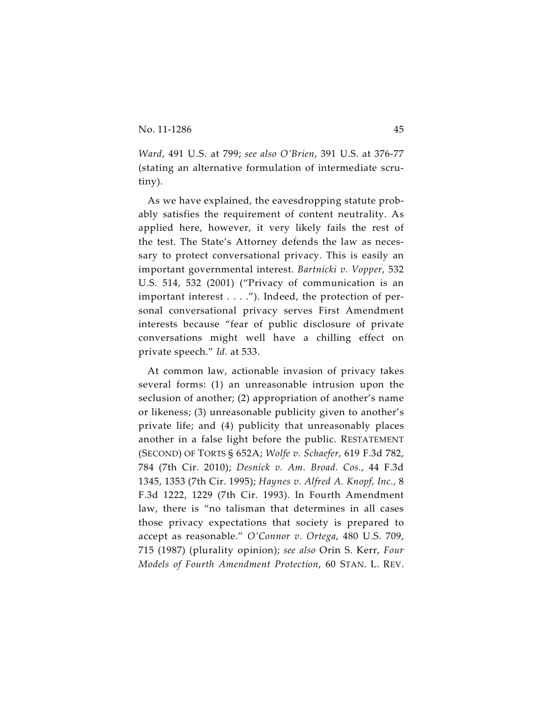*Ward*, 491 U.S. at 799; *see also O'Brien*, 391 U.S. at 376-77 (stating an alternative formulation of intermediate scrutiny).

As we have explained, the eavesdropping statute probably satisfies the requirement of content neutrality. As applied here, however, it very likely fails the rest of the test. The State's Attorney defends the law as necessary to protect conversational privacy. This is easily an important governmental interest. *Bartnicki v. Vopper*, 532 U.S. 514, 532 (2001) ("Privacy of communication is an important interest . . . ."). Indeed, the protection of personal conversational privacy serves First Amendment interests because "fear of public disclosure of private conversations might well have a chilling effect on private speech." *Id.* at 533.

At common law, actionable invasion of privacy takes several forms: (1) an unreasonable intrusion upon the seclusion of another; (2) appropriation of another's name or likeness; (3) unreasonable publicity given to another's private life; and (4) publicity that unreasonably places another in a false light before the public. RESTATEMENT (SECOND) OF TORTS § 652A; *Wolfe v. Schaefer*, 619 F.3d 782, 784 (7th Cir. 2010); *Desnick v. Am. Broad. Cos.*, 44 F.3d 1345, 1353 (7th Cir. 1995); *Haynes v. Alfred A. Knopf, Inc.,* 8 F.3d 1222, 1229 (7th Cir. 1993). In Fourth Amendment law, there is "no talisman that determines in all cases those privacy expectations that society is prepared to accept as reasonable." *O'Connor v. Ortega*, 480 U.S. 709, 715 (1987) (plurality opinion); *see also* Orin S. Kerr, *Four Models of Fourth Amendment Protection*, 60 STAN. L. REV.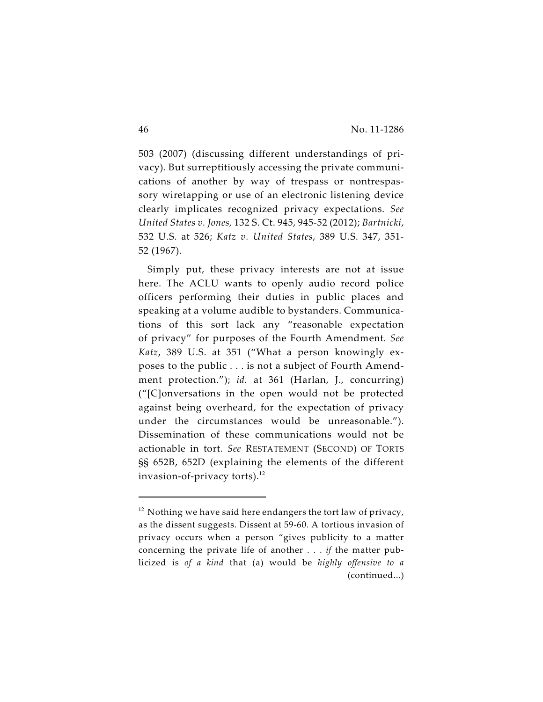503 (2007) (discussing different understandings of privacy). But surreptitiously accessing the private communications of another by way of trespass or nontrespassory wiretapping or use of an electronic listening device clearly implicates recognized privacy expectations. *See United States v. Jones,* 132 S. Ct. 945, 945-52 (2012); *Bartnicki*, 532 U.S. at 526; *Katz v. United States*, 389 U.S. 347, 351- 52 (1967).

Simply put, these privacy interests are not at issue here. The ACLU wants to openly audio record police officers performing their duties in public places and speaking at a volume audible to bystanders. Communications of this sort lack any "reasonable expectation of privacy" for purposes of the Fourth Amendment*. See Katz*, 389 U.S. at 351 ("What a person knowingly exposes to the public . . . is not a subject of Fourth Amendment protection."); *id.* at 361 (Harlan, J., concurring) ("[C]onversations in the open would not be protected against being overheard, for the expectation of privacy under the circumstances would be unreasonable."). Dissemination of these communications would not be actionable in tort. *See* RESTATEMENT (SECOND) OF TORTS §§ 652B, 652D (explaining the elements of the different invasion-of-privacy torts). $^{12}$ 

 $12$  Nothing we have said here endangers the tort law of privacy, as the dissent suggests. Dissent at 59-60. A tortious invasion of privacy occurs when a person "gives publicity to a matter concerning the private life of another . . . *if* the matter publicized is *of a kind* that (a) would be *highly offensive to a* (continued...)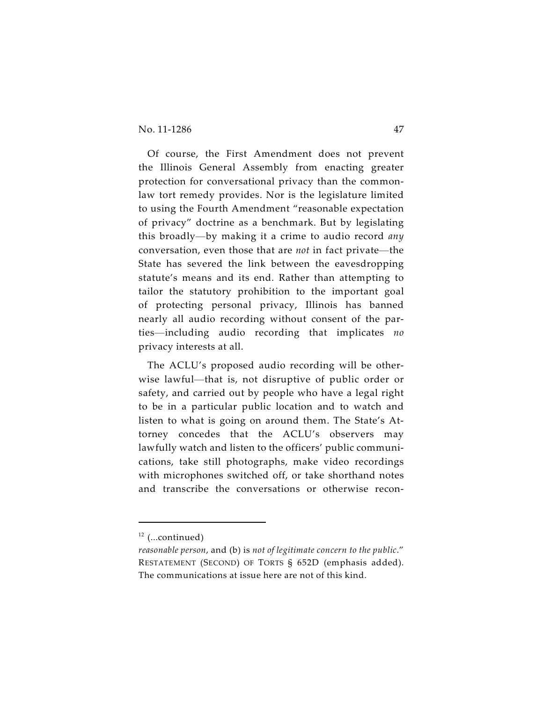Of course, the First Amendment does not prevent the Illinois General Assembly from enacting greater protection for conversational privacy than the commonlaw tort remedy provides. Nor is the legislature limited to using the Fourth Amendment "reasonable expectation of privacy" doctrine as a benchmark. But by legislating this broadly—by making it a crime to audio record *any* conversation, even those that are *not* in fact private—the State has severed the link between the eavesdropping statute's means and its end. Rather than attempting to tailor the statutory prohibition to the important goal of protecting personal privacy, Illinois has banned nearly all audio recording without consent of the parties—including audio recording that implicates *no* privacy interests at all.

The ACLU's proposed audio recording will be otherwise lawful—that is, not disruptive of public order or safety, and carried out by people who have a legal right to be in a particular public location and to watch and listen to what is going on around them. The State's Attorney concedes that the ACLU's observers may lawfully watch and listen to the officers' public communications, take still photographs, make video recordings with microphones switched off, or take shorthand notes and transcribe the conversations or otherwise recon-

 $12$  (...continued)

*reasonable person*, and (b) is *not of legitimate concern to the public*." RESTATEMENT (SECOND) OF TORTS § 652D (emphasis added). The communications at issue here are not of this kind.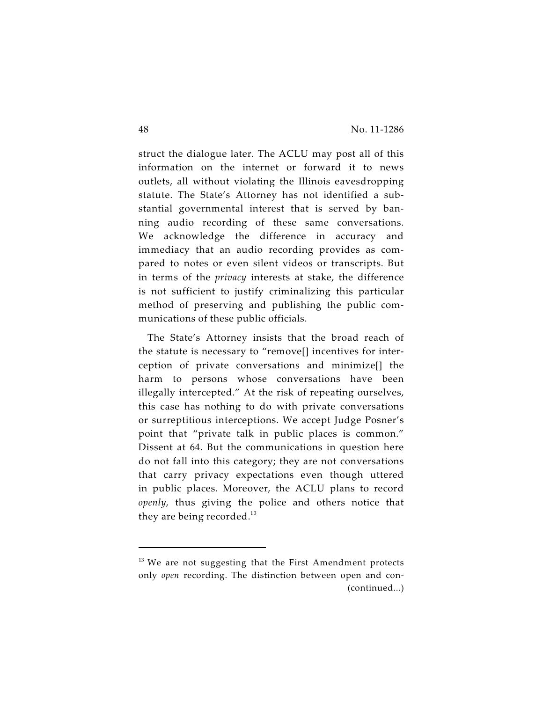struct the dialogue later. The ACLU may post all of this information on the internet or forward it to news outlets, all without violating the Illinois eavesdropping statute. The State's Attorney has not identified a substantial governmental interest that is served by banning audio recording of these same conversations. We acknowledge the difference in accuracy and immediacy that an audio recording provides as compared to notes or even silent videos or transcripts. But in terms of the *privacy* interests at stake, the difference is not sufficient to justify criminalizing this particular method of preserving and publishing the public communications of these public officials.

The State's Attorney insists that the broad reach of the statute is necessary to "remove[] incentives for interception of private conversations and minimize[] the harm to persons whose conversations have been illegally intercepted." At the risk of repeating ourselves, this case has nothing to do with private conversations or surreptitious interceptions. We accept Judge Posner's point that "private talk in public places is common." Dissent at 64. But the communications in question here do not fall into this category; they are not conversations that carry privacy expectations even though uttered in public places. Moreover, the ACLU plans to record *openly,* thus giving the police and others notice that they are being recorded. $^{13}$ 

 $13$  We are not suggesting that the First Amendment protects only *open* recording. The distinction between open and con- (continued...)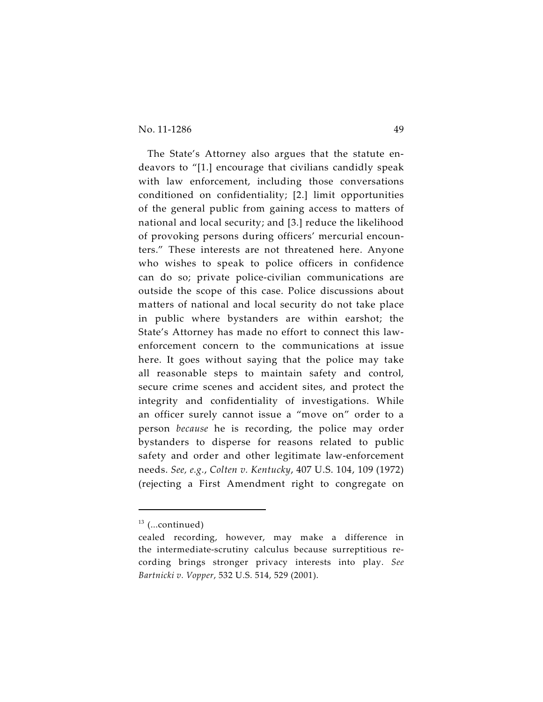The State's Attorney also argues that the statute endeavors to "[1.] encourage that civilians candidly speak with law enforcement, including those conversations conditioned on confidentiality; [2.] limit opportunities of the general public from gaining access to matters of national and local security; and [3.] reduce the likelihood of provoking persons during officers' mercurial encounters." These interests are not threatened here. Anyone who wishes to speak to police officers in confidence can do so; private police-civilian communications are outside the scope of this case. Police discussions about matters of national and local security do not take place in public where bystanders are within earshot; the State's Attorney has made no effort to connect this lawenforcement concern to the communications at issue here. It goes without saying that the police may take all reasonable steps to maintain safety and control, secure crime scenes and accident sites, and protect the integrity and confidentiality of investigations. While an officer surely cannot issue a "move on" order to a person *because* he is recording, the police may order bystanders to disperse for reasons related to public safety and order and other legitimate law-enforcement needs. *See, e.g.*, *Colten v. Kentucky*, 407 U.S. 104, 109 (1972) (rejecting a First Amendment right to congregate on

 $13$  (...continued)

cealed recording, however, may make a difference in the intermediate-scrutiny calculus because surreptitious recording brings stronger privacy interests into play. *See Bartnicki v. Vopper*, 532 U.S. 514, 529 (2001).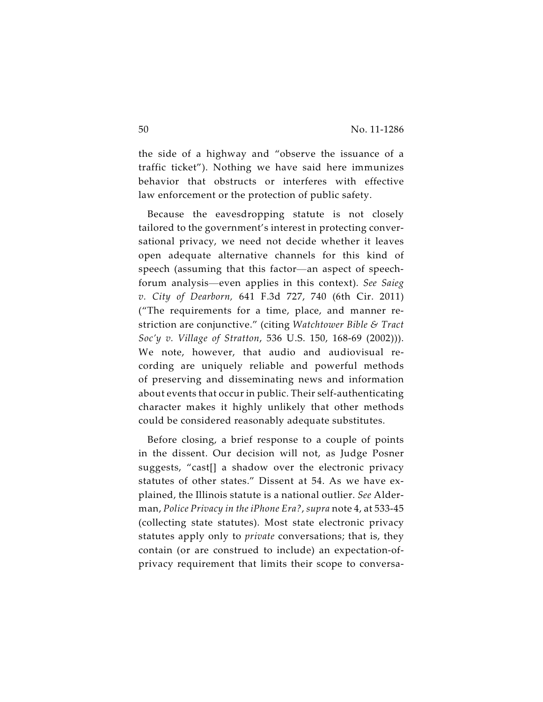the side of a highway and "observe the issuance of a traffic ticket"). Nothing we have said here immunizes behavior that obstructs or interferes with effective law enforcement or the protection of public safety.

Because the eavesdropping statute is not closely tailored to the government's interest in protecting conversational privacy, we need not decide whether it leaves open adequate alternative channels for this kind of speech (assuming that this factor—an aspect of speechforum analysis—even applies in this context). *See Saieg v. City of Dearborn,* 641 F.3d 727, 740 (6th Cir. 2011) ("The requirements for a time, place, and manner restriction are conjunctive." (citing *Watchtower Bible & Tract Soc'y v. Village of Stratton*, 536 U.S. 150, 168-69 (2002))). We note, however, that audio and audiovisual recording are uniquely reliable and powerful methods of preserving and disseminating news and information about events that occur in public. Their self-authenticating character makes it highly unlikely that other methods could be considered reasonably adequate substitutes.

Before closing, a brief response to a couple of points in the dissent. Our decision will not, as Judge Posner suggests, "cast[] a shadow over the electronic privacy statutes of other states." Dissent at 54. As we have explained, the Illinois statute is a national outlier. *See* Alderman, *Police Privacy in the iPhone Era?*, *supra* note 4, at 533-45 (collecting state statutes). Most state electronic privacy statutes apply only to *private* conversations; that is, they contain (or are construed to include) an expectation-ofprivacy requirement that limits their scope to conversa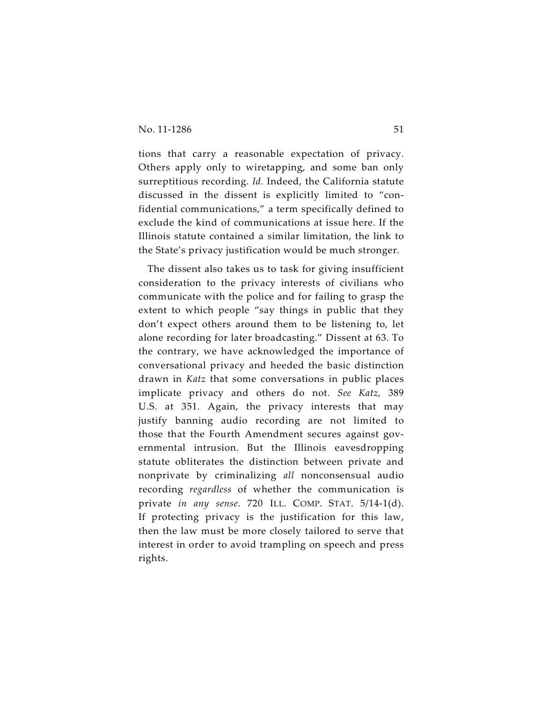tions that carry a reasonable expectation of privacy. Others apply only to wiretapping, and some ban only surreptitious recording. *Id.* Indeed, the California statute discussed in the dissent is explicitly limited to "confidential communications," a term specifically defined to exclude the kind of communications at issue here. If the Illinois statute contained a similar limitation, the link to the State's privacy justification would be much stronger.

The dissent also takes us to task for giving insufficient consideration to the privacy interests of civilians who communicate with the police and for failing to grasp the extent to which people "say things in public that they don't expect others around them to be listening to, let alone recording for later broadcasting." Dissent at 63. To the contrary, we have acknowledged the importance of conversational privacy and heeded the basic distinction drawn in *Katz* that some conversations in public places implicate privacy and others do not. *See Katz,* 389 U.S. at 351. Again, the privacy interests that may justify banning audio recording are not limited to those that the Fourth Amendment secures against governmental intrusion. But the Illinois eavesdropping statute obliterates the distinction between private and nonprivate by criminalizing *all* nonconsensual audio recording *regardless* of whether the communication is private *in any sense*. 720 ILL. COMP. STAT. 5/14-1(d). If protecting privacy is the justification for this law, then the law must be more closely tailored to serve that interest in order to avoid trampling on speech and press rights.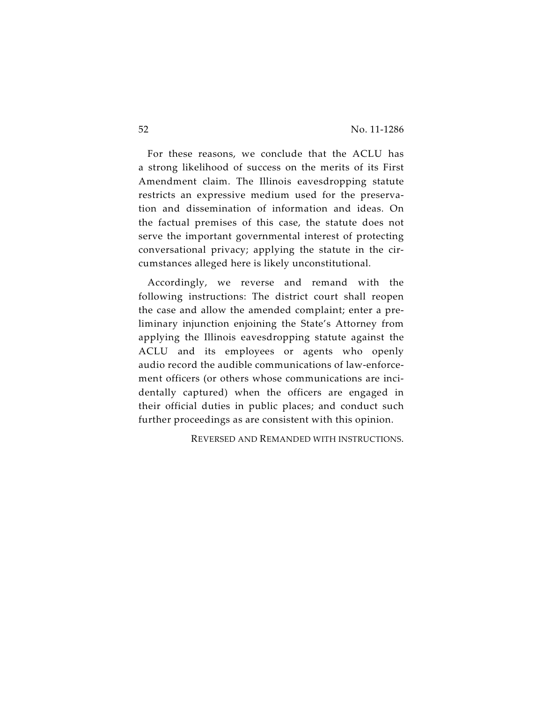For these reasons, we conclude that the ACLU has a strong likelihood of success on the merits of its First Amendment claim. The Illinois eavesdropping statute restricts an expressive medium used for the preservation and dissemination of information and ideas. On the factual premises of this case, the statute does not serve the important governmental interest of protecting conversational privacy; applying the statute in the circumstances alleged here is likely unconstitutional.

Accordingly, we reverse and remand with the following instructions: The district court shall reopen the case and allow the amended complaint; enter a preliminary injunction enjoining the State's Attorney from applying the Illinois eavesdropping statute against the ACLU and its employees or agents who openly audio record the audible communications of law-enforcement officers (or others whose communications are incidentally captured) when the officers are engaged in their official duties in public places; and conduct such further proceedings as are consistent with this opinion.

REVERSED AND REMANDED WITH INSTRUCTIONS.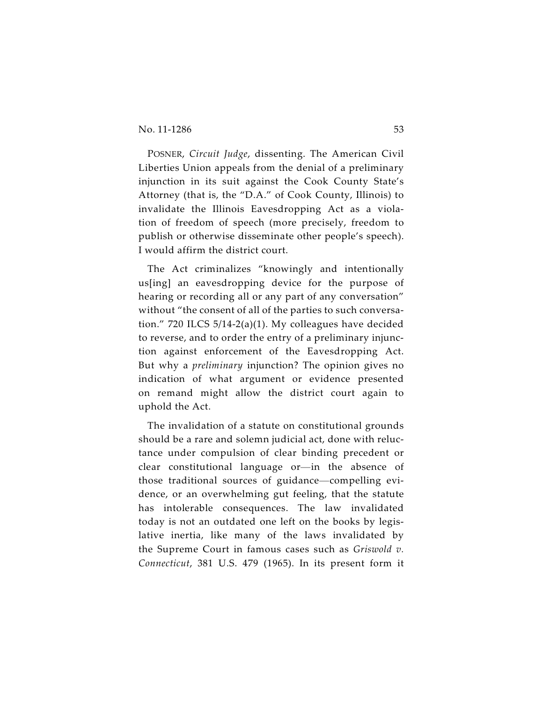POSNER, *Circuit Judge*, dissenting. The American Civil Liberties Union appeals from the denial of a preliminary injunction in its suit against the Cook County State's Attorney (that is, the "D.A." of Cook County, Illinois) to invalidate the Illinois Eavesdropping Act as a violation of freedom of speech (more precisely, freedom to publish or otherwise disseminate other people's speech). I would affirm the district court.

The Act criminalizes "knowingly and intentionally us[ing] an eavesdropping device for the purpose of hearing or recording all or any part of any conversation" without "the consent of all of the parties to such conversation." 720 ILCS 5/14-2(a)(1). My colleagues have decided to reverse, and to order the entry of a preliminary injunction against enforcement of the Eavesdropping Act. But why a *preliminary* injunction? The opinion gives no indication of what argument or evidence presented on remand might allow the district court again to uphold the Act.

The invalidation of a statute on constitutional grounds should be a rare and solemn judicial act, done with reluctance under compulsion of clear binding precedent or clear constitutional language or—in the absence of those traditional sources of guidance—compelling evidence, or an overwhelming gut feeling, that the statute has intolerable consequences. The law invalidated today is not an outdated one left on the books by legislative inertia, like many of the laws invalidated by the Supreme Court in famous cases such as *Griswold v. Connecticut*, 381 U.S. 479 (1965). In its present form it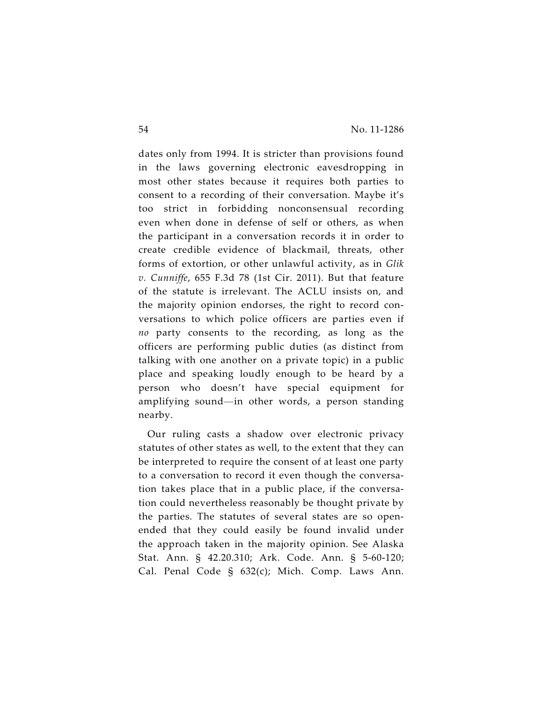dates only from 1994. It is stricter than provisions found in the laws governing electronic eavesdropping in most other states because it requires both parties to consent to a recording of their conversation. Maybe it's too strict in forbidding nonconsensual recording even when done in defense of self or others, as when the participant in a conversation records it in order to create credible evidence of blackmail, threats, other forms of extortion, or other unlawful activity, as in *Glik v. Cunniffe*, 655 F.3d 78 (1st Cir. 2011). But that feature of the statute is irrelevant. The ACLU insists on, and the majority opinion endorses, the right to record conversations to which police officers are parties even if *no* party consents to the recording, as long as the officers are performing public duties (as distinct from talking with one another on a private topic) in a public place and speaking loudly enough to be heard by a person who doesn't have special equipment for amplifying sound—in other words, a person standing nearby.

Our ruling casts a shadow over electronic privacy statutes of other states as well, to the extent that they can be interpreted to require the consent of at least one party to a conversation to record it even though the conversation takes place that in a public place, if the conversation could nevertheless reasonably be thought private by the parties. The statutes of several states are so openended that they could easily be found invalid under the approach taken in the majority opinion. See Alaska Stat. Ann. § 42.20.310; Ark. Code. Ann. § 5-60-120; Cal. Penal Code § 632(c); Mich. Comp. Laws Ann.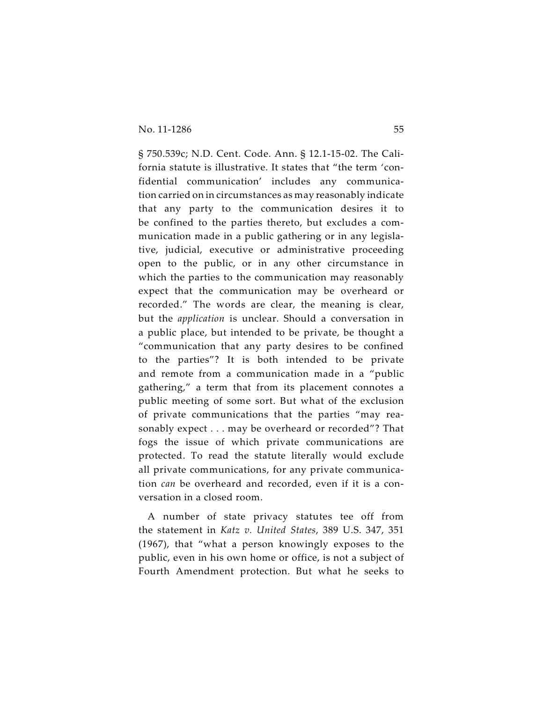§ 750.539c; N.D. Cent. Code. Ann. § 12.1-15-02. The California statute is illustrative. It states that "the term 'confidential communication' includes any communication carried on in circumstances as may reasonably indicate that any party to the communication desires it to be confined to the parties thereto, but excludes a communication made in a public gathering or in any legislative, judicial, executive or administrative proceeding open to the public, or in any other circumstance in which the parties to the communication may reasonably expect that the communication may be overheard or recorded." The words are clear, the meaning is clear, but the *application* is unclear. Should a conversation in a public place, but intended to be private, be thought a "communication that any party desires to be confined to the parties"? It is both intended to be private and remote from a communication made in a "public gathering," a term that from its placement connotes a public meeting of some sort. But what of the exclusion of private communications that the parties "may reasonably expect . . . may be overheard or recorded"? That fogs the issue of which private communications are protected. To read the statute literally would exclude all private communications, for any private communication *can* be overheard and recorded, even if it is a conversation in a closed room.

A number of state privacy statutes tee off from the statement in *Katz v. United States*, 389 U.S. 347, 351 (1967), that "what a person knowingly exposes to the public, even in his own home or office, is not a subject of Fourth Amendment protection. But what he seeks to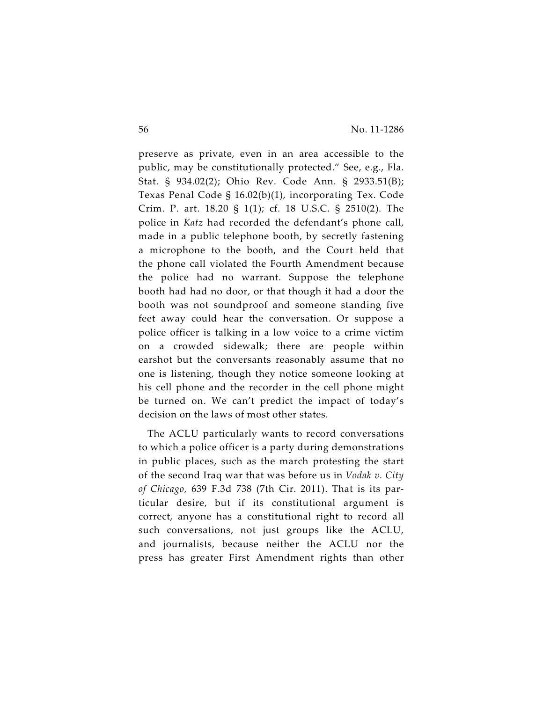preserve as private, even in an area accessible to the public, may be constitutionally protected." See, e.g., Fla. Stat. § 934.02(2); Ohio Rev. Code Ann. § 2933.51(B); Texas Penal Code § 16.02(b)(1), incorporating Tex. Code Crim. P. art. 18.20 § 1(1); cf. 18 U.S.C. § 2510(2). The police in *Katz* had recorded the defendant's phone call, made in a public telephone booth, by secretly fastening a microphone to the booth, and the Court held that the phone call violated the Fourth Amendment because the police had no warrant. Suppose the telephone booth had had no door, or that though it had a door the booth was not soundproof and someone standing five feet away could hear the conversation. Or suppose a police officer is talking in a low voice to a crime victim on a crowded sidewalk; there are people within earshot but the conversants reasonably assume that no one is listening, though they notice someone looking at his cell phone and the recorder in the cell phone might be turned on. We can't predict the impact of today's decision on the laws of most other states.

The ACLU particularly wants to record conversations to which a police officer is a party during demonstrations in public places, such as the march protesting the start of the second Iraq war that was before us in *Vodak v. City of Chicago,* 639 F.3d 738 (7th Cir. 2011). That is its particular desire, but if its constitutional argument is correct, anyone has a constitutional right to record all such conversations, not just groups like the ACLU, and journalists, because neither the ACLU nor the press has greater First Amendment rights than other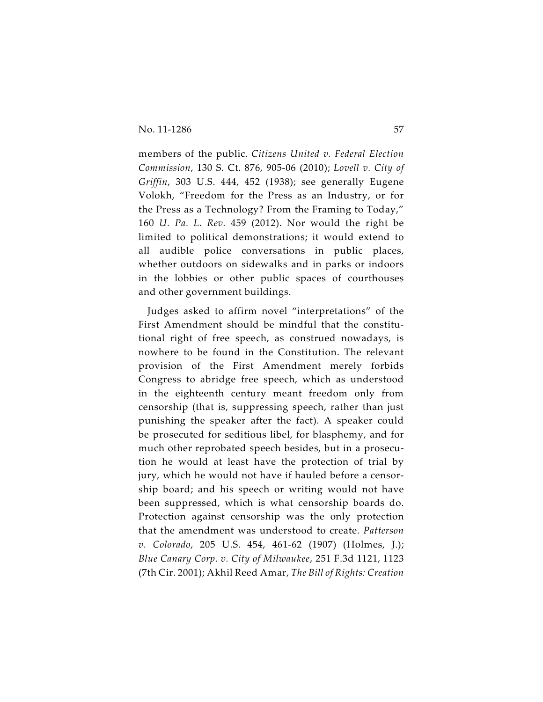members of the public. *Citizens United v. Federal Election Commission*, 130 S. Ct. 876, 905-06 (2010); *Lovell v. City of Griffin*, 303 U.S. 444, 452 (1938); see generally Eugene Volokh, "Freedom for the Press as an Industry, or for the Press as a Technology? From the Framing to Today," 160 *U. Pa. L. Rev.* 459 (2012). Nor would the right be limited to political demonstrations; it would extend to all audible police conversations in public places, whether outdoors on sidewalks and in parks or indoors in the lobbies or other public spaces of courthouses and other government buildings.

Judges asked to affirm novel "interpretations" of the First Amendment should be mindful that the constitutional right of free speech, as construed nowadays, is nowhere to be found in the Constitution. The relevant provision of the First Amendment merely forbids Congress to abridge free speech, which as understood in the eighteenth century meant freedom only from censorship (that is, suppressing speech, rather than just punishing the speaker after the fact). A speaker could be prosecuted for seditious libel, for blasphemy, and for much other reprobated speech besides, but in a prosecution he would at least have the protection of trial by jury, which he would not have if hauled before a censorship board; and his speech or writing would not have been suppressed, which is what censorship boards do. Protection against censorship was the only protection that the amendment was understood to create. *Patterson v. Colorado*, 205 U.S. 454, 461-62 (1907) (Holmes, J.); *Blue Canary Corp. v. City of Milwaukee*, 251 F.3d 1121, 1123 (7th Cir. 2001); Akhil Reed Amar, *The Bill of Rights: Creation*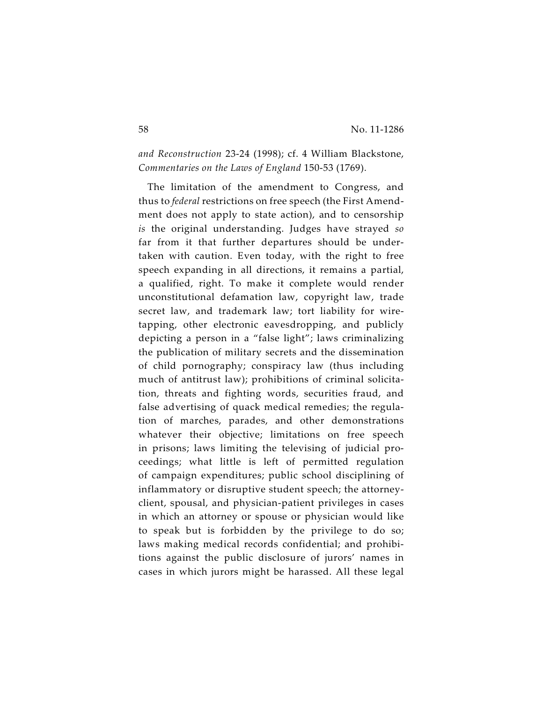*and Reconstruction* 23-24 (1998); cf. 4 William Blackstone, *Commentaries on the Laws of England* 150-53 (1769).

The limitation of the amendment to Congress, and thus to *federal* restrictions on free speech (the First Amendment does not apply to state action), and to censorship *is* the original understanding. Judges have strayed *so* far from it that further departures should be undertaken with caution. Even today, with the right to free speech expanding in all directions, it remains a partial, a qualified, right. To make it complete would render unconstitutional defamation law, copyright law, trade secret law, and trademark law; tort liability for wiretapping, other electronic eavesdropping, and publicly depicting a person in a "false light"; laws criminalizing the publication of military secrets and the dissemination of child pornography; conspiracy law (thus including much of antitrust law); prohibitions of criminal solicitation, threats and fighting words, securities fraud, and false advertising of quack medical remedies; the regulation of marches, parades, and other demonstrations whatever their objective; limitations on free speech in prisons; laws limiting the televising of judicial proceedings; what little is left of permitted regulation of campaign expenditures; public school disciplining of inflammatory or disruptive student speech; the attorneyclient, spousal, and physician-patient privileges in cases in which an attorney or spouse or physician would like to speak but is forbidden by the privilege to do so; laws making medical records confidential; and prohibitions against the public disclosure of jurors' names in cases in which jurors might be harassed. All these legal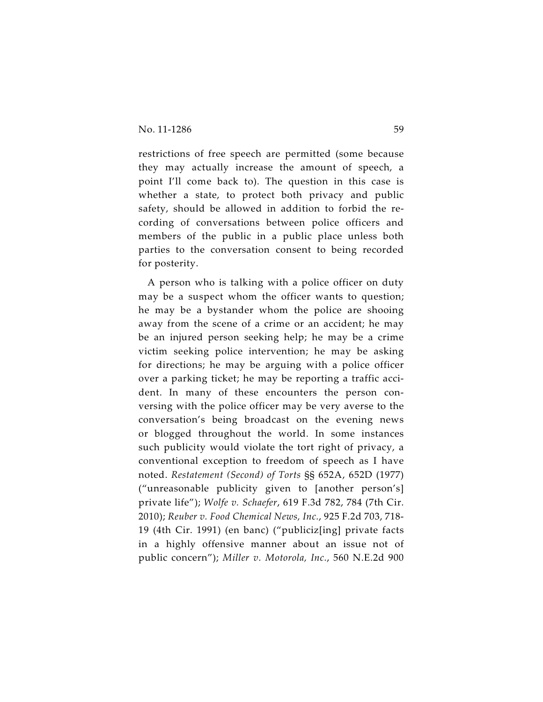restrictions of free speech are permitted (some because they may actually increase the amount of speech, a point I'll come back to). The question in this case is whether a state, to protect both privacy and public safety, should be allowed in addition to forbid the recording of conversations between police officers and members of the public in a public place unless both parties to the conversation consent to being recorded for posterity.

A person who is talking with a police officer on duty may be a suspect whom the officer wants to question; he may be a bystander whom the police are shooing away from the scene of a crime or an accident; he may be an injured person seeking help; he may be a crime victim seeking police intervention; he may be asking for directions; he may be arguing with a police officer over a parking ticket; he may be reporting a traffic accident. In many of these encounters the person conversing with the police officer may be very averse to the conversation's being broadcast on the evening news or blogged throughout the world. In some instances such publicity would violate the tort right of privacy, a conventional exception to freedom of speech as I have noted. *Restatement (Second) of Torts* §§ 652A, 652D (1977) ("unreasonable publicity given to [another person's] private life"); *Wolfe v. Schaefer*, 619 F.3d 782, 784 (7th Cir. 2010); *Reuber v. Food Chemical News, Inc.*, 925 F.2d 703, 718- 19 (4th Cir. 1991) (en banc) ("publiciz[ing] private facts in a highly offensive manner about an issue not of public concern"); *Miller v. Motorola, Inc.*, 560 N.E.2d 900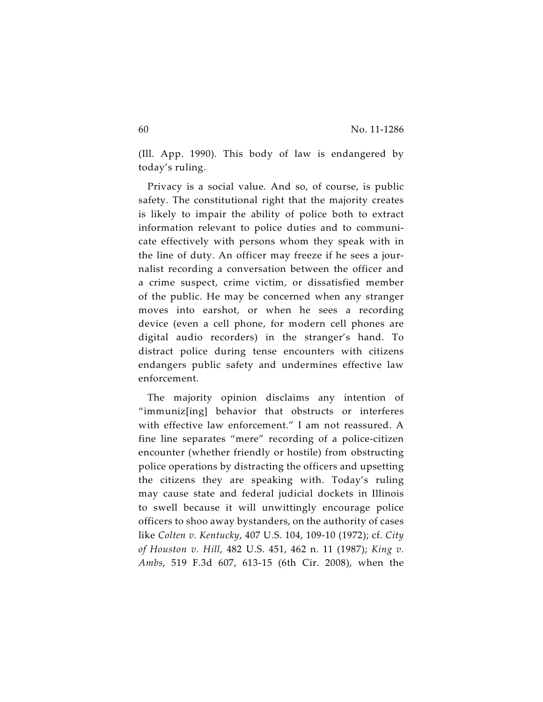(Ill. App. 1990). This body of law is endangered by today's ruling.

Privacy is a social value. And so, of course, is public safety. The constitutional right that the majority creates is likely to impair the ability of police both to extract information relevant to police duties and to communicate effectively with persons whom they speak with in the line of duty. An officer may freeze if he sees a journalist recording a conversation between the officer and a crime suspect, crime victim, or dissatisfied member of the public. He may be concerned when any stranger moves into earshot, or when he sees a recording device (even a cell phone, for modern cell phones are digital audio recorders) in the stranger's hand. To distract police during tense encounters with citizens endangers public safety and undermines effective law enforcement.

The majority opinion disclaims any intention of "immuniz[ing] behavior that obstructs or interferes with effective law enforcement." I am not reassured. A fine line separates "mere" recording of a police-citizen encounter (whether friendly or hostile) from obstructing police operations by distracting the officers and upsetting the citizens they are speaking with. Today's ruling may cause state and federal judicial dockets in Illinois to swell because it will unwittingly encourage police officers to shoo away bystanders, on the authority of cases like *Colten v. Kentucky*, 407 U.S. 104, 109-10 (1972); cf. *City of Houston v. Hill*, 482 U.S. 451, 462 n. 11 (1987); *King v. Ambs*, 519 F.3d 607, 613-15 (6th Cir. 2008), when the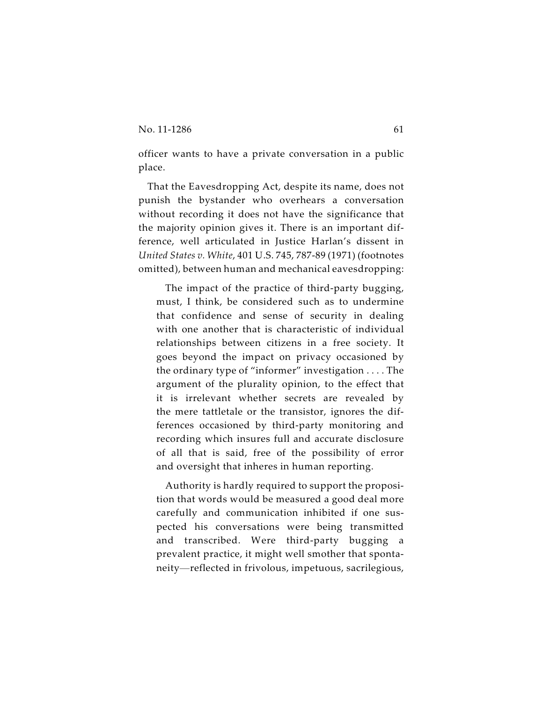officer wants to have a private conversation in a public place.

That the Eavesdropping Act, despite its name, does not punish the bystander who overhears a conversation without recording it does not have the significance that the majority opinion gives it. There is an important difference, well articulated in Justice Harlan's dissent in *United States v. White*, 401 U.S. 745, 787-89 (1971) (footnotes omitted), between human and mechanical eavesdropping:

The impact of the practice of third-party bugging, must, I think, be considered such as to undermine that confidence and sense of security in dealing with one another that is characteristic of individual relationships between citizens in a free society. It goes beyond the impact on privacy occasioned by the ordinary type of "informer" investigation . . . . The argument of the plurality opinion, to the effect that it is irrelevant whether secrets are revealed by the mere tattletale or the transistor, ignores the differences occasioned by third-party monitoring and recording which insures full and accurate disclosure of all that is said, free of the possibility of error and oversight that inheres in human reporting.

Authority is hardly required to support the proposition that words would be measured a good deal more carefully and communication inhibited if one suspected his conversations were being transmitted and transcribed. Were third-party bugging a prevalent practice, it might well smother that spontaneity—reflected in frivolous, impetuous, sacrilegious,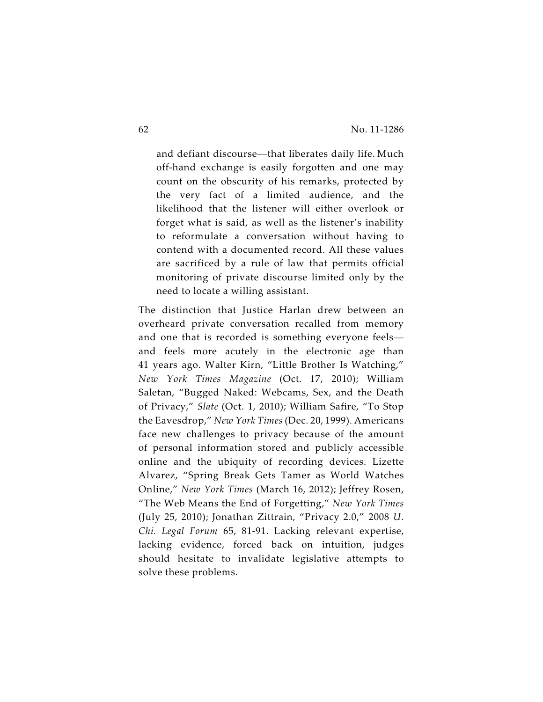and defiant discourse—that liberates daily life. Much off-hand exchange is easily forgotten and one may count on the obscurity of his remarks, protected by the very fact of a limited audience, and the likelihood that the listener will either overlook or forget what is said, as well as the listener's inability to reformulate a conversation without having to contend with a documented record. All these values are sacrificed by a rule of law that permits official monitoring of private discourse limited only by the need to locate a willing assistant.

The distinction that Justice Harlan drew between an overheard private conversation recalled from memory and one that is recorded is something everyone feels and feels more acutely in the electronic age than 41 years ago. Walter Kirn, "Little Brother Is Watching," *New York Times Magazine* (Oct. 17, 2010); William Saletan, "Bugged Naked: Webcams, Sex, and the Death of Privacy," *Slate* (Oct. 1, 2010); William Safire, "To Stop the Eavesdrop," *New York Times* (Dec. 20, 1999). Americans face new challenges to privacy because of the amount of personal information stored and publicly accessible online and the ubiquity of recording devices. Lizette Alvarez, "Spring Break Gets Tamer as World Watches Online," *New York Times* (March 16, 2012); Jeffrey Rosen, "The Web Means the End of Forgetting," *New York Times* (July 25, 2010); Jonathan Zittrain, "Privacy 2.0," 2008 *U. Chi. Legal Forum* 65, 81-91. Lacking relevant expertise, lacking evidence, forced back on intuition, judges should hesitate to invalidate legislative attempts to solve these problems.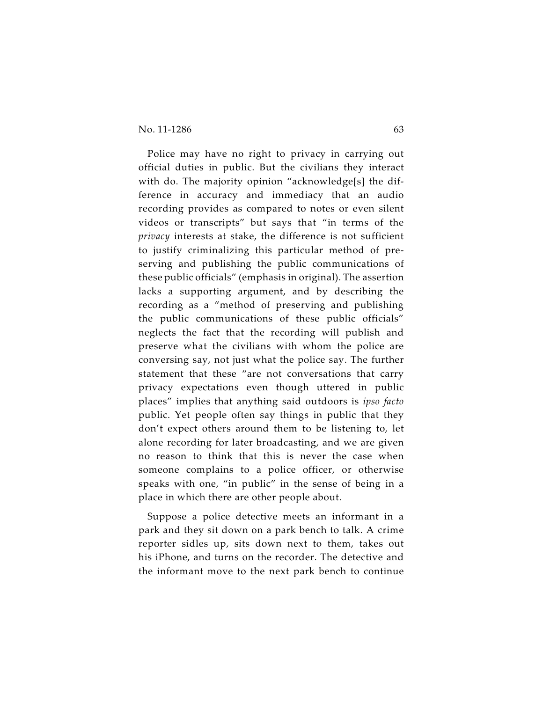### No. 11-1286 63

Police may have no right to privacy in carrying out official duties in public. But the civilians they interact with do. The majority opinion "acknowledge[s] the difference in accuracy and immediacy that an audio recording provides as compared to notes or even silent videos or transcripts" but says that "in terms of the *privacy* interests at stake, the difference is not sufficient to justify criminalizing this particular method of preserving and publishing the public communications of these public officials" (emphasis in original). The assertion lacks a supporting argument, and by describing the recording as a "method of preserving and publishing the public communications of these public officials" neglects the fact that the recording will publish and preserve what the civilians with whom the police are conversing say, not just what the police say. The further statement that these "are not conversations that carry privacy expectations even though uttered in public places" implies that anything said outdoors is *ipso facto* public. Yet people often say things in public that they don't expect others around them to be listening to, let alone recording for later broadcasting, and we are given no reason to think that this is never the case when someone complains to a police officer, or otherwise speaks with one, "in public" in the sense of being in a place in which there are other people about.

Suppose a police detective meets an informant in a park and they sit down on a park bench to talk. A crime reporter sidles up, sits down next to them, takes out his iPhone, and turns on the recorder. The detective and the informant move to the next park bench to continue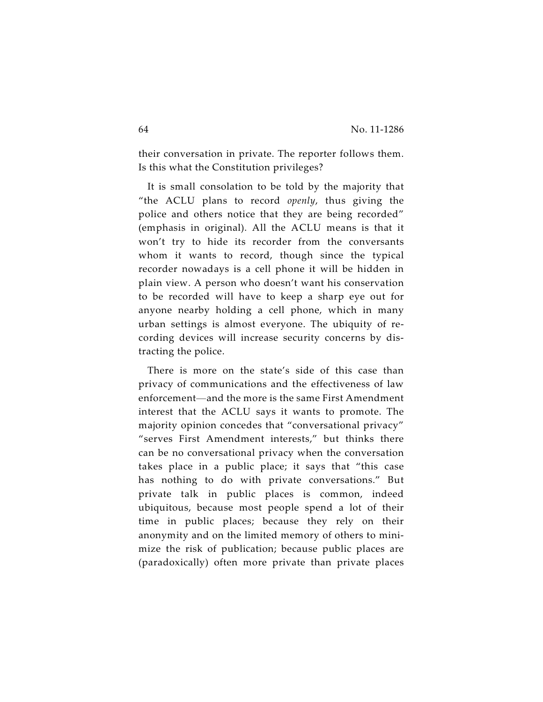their conversation in private. The reporter follows them. Is this what the Constitution privileges?

It is small consolation to be told by the majority that "the ACLU plans to record *openly*, thus giving the police and others notice that they are being recorded" (emphasis in original). All the ACLU means is that it won't try to hide its recorder from the conversants whom it wants to record, though since the typical recorder nowadays is a cell phone it will be hidden in plain view. A person who doesn't want his conservation to be recorded will have to keep a sharp eye out for anyone nearby holding a cell phone, which in many urban settings is almost everyone. The ubiquity of recording devices will increase security concerns by distracting the police.

There is more on the state's side of this case than privacy of communications and the effectiveness of law enforcement—and the more is the same First Amendment interest that the ACLU says it wants to promote. The majority opinion concedes that "conversational privacy" "serves First Amendment interests," but thinks there can be no conversational privacy when the conversation takes place in a public place; it says that "this case has nothing to do with private conversations." But private talk in public places is common, indeed ubiquitous, because most people spend a lot of their time in public places; because they rely on their anonymity and on the limited memory of others to minimize the risk of publication; because public places are (paradoxically) often more private than private places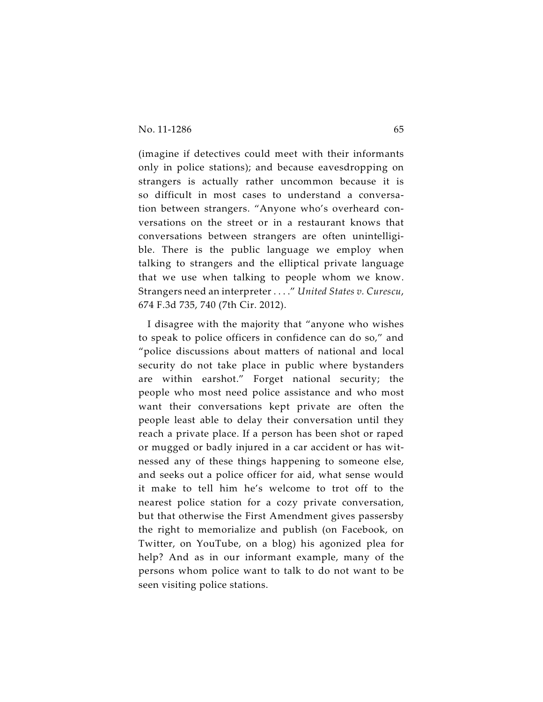(imagine if detectives could meet with their informants only in police stations); and because eavesdropping on strangers is actually rather uncommon because it is so difficult in most cases to understand a conversation between strangers. "Anyone who's overheard conversations on the street or in a restaurant knows that conversations between strangers are often unintelligible. There is the public language we employ when talking to strangers and the elliptical private language that we use when talking to people whom we know. Strangers need an interpreter . . . ." *United States v. Curescu*, 674 F.3d 735, 740 (7th Cir. 2012).

I disagree with the majority that "anyone who wishes to speak to police officers in confidence can do so," and "police discussions about matters of national and local security do not take place in public where bystanders are within earshot." Forget national security; the people who most need police assistance and who most want their conversations kept private are often the people least able to delay their conversation until they reach a private place. If a person has been shot or raped or mugged or badly injured in a car accident or has witnessed any of these things happening to someone else, and seeks out a police officer for aid, what sense would it make to tell him he's welcome to trot off to the nearest police station for a cozy private conversation, but that otherwise the First Amendment gives passersby the right to memorialize and publish (on Facebook, on Twitter, on YouTube, on a blog) his agonized plea for help? And as in our informant example, many of the persons whom police want to talk to do not want to be seen visiting police stations.